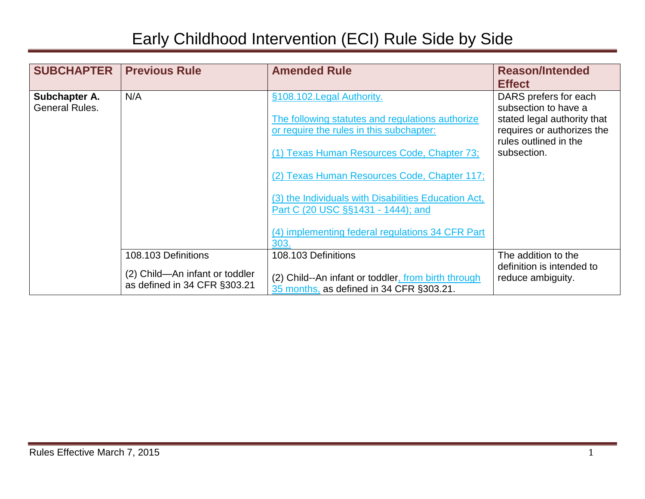| <b>SUBCHAPTER</b>               | <b>Previous Rule</b>                                                                  | <b>Amended Rule</b>                                                                                                                                                                                                                                                                                                                                                                 | <b>Reason/Intended</b><br><b>Effect</b>                                                                                                            |
|---------------------------------|---------------------------------------------------------------------------------------|-------------------------------------------------------------------------------------------------------------------------------------------------------------------------------------------------------------------------------------------------------------------------------------------------------------------------------------------------------------------------------------|----------------------------------------------------------------------------------------------------------------------------------------------------|
| Subchapter A.<br>General Rules. | N/A                                                                                   | §108.102. Legal Authority.<br>The following statutes and regulations authorize<br>or require the rules in this subchapter:<br>(1) Texas Human Resources Code, Chapter 73;<br>(2) Texas Human Resources Code, Chapter 117;<br>(3) the Individuals with Disabilities Education Act,<br>Part C (20 USC §§1431 - 1444); and<br>(4) implementing federal regulations 34 CFR Part<br>303. | DARS prefers for each<br>subsection to have a<br>stated legal authority that<br>requires or authorizes the<br>rules outlined in the<br>subsection. |
|                                 | 108.103 Definitions<br>(2) Child-An infant or toddler<br>as defined in 34 CFR §303.21 | 108.103 Definitions<br>(2) Child--An infant or toddler, from birth through<br>35 months, as defined in 34 CFR §303.21.                                                                                                                                                                                                                                                              | The addition to the<br>definition is intended to<br>reduce ambiguity.                                                                              |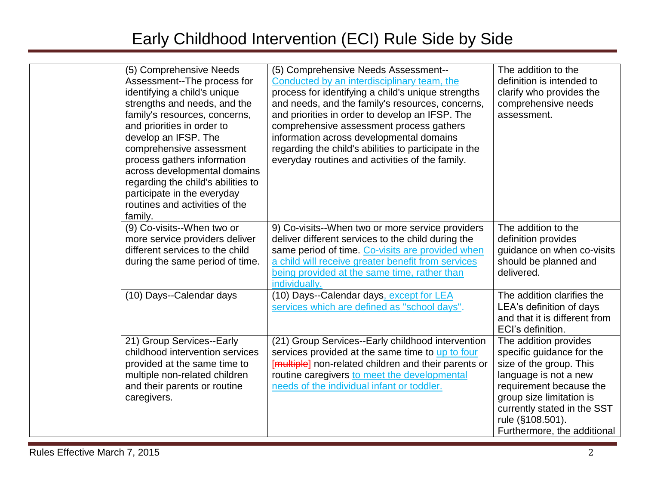| (5) Comprehensive Needs<br>Assessment--The process for<br>identifying a child's unique<br>strengths and needs, and the<br>family's resources, concerns,<br>and priorities in order to<br>develop an IFSP. The<br>comprehensive assessment<br>process gathers information<br>across developmental domains<br>regarding the child's abilities to<br>participate in the everyday<br>routines and activities of the<br>family. | (5) Comprehensive Needs Assessment--<br>Conducted by an interdisciplinary team, the<br>process for identifying a child's unique strengths<br>and needs, and the family's resources, concerns,<br>and priorities in order to develop an IFSP. The<br>comprehensive assessment process gathers<br>information across developmental domains<br>regarding the child's abilities to participate in the<br>everyday routines and activities of the family. | The addition to the<br>definition is intended to<br>clarify who provides the<br>comprehensive needs<br>assessment.                                                                                                                              |
|----------------------------------------------------------------------------------------------------------------------------------------------------------------------------------------------------------------------------------------------------------------------------------------------------------------------------------------------------------------------------------------------------------------------------|------------------------------------------------------------------------------------------------------------------------------------------------------------------------------------------------------------------------------------------------------------------------------------------------------------------------------------------------------------------------------------------------------------------------------------------------------|-------------------------------------------------------------------------------------------------------------------------------------------------------------------------------------------------------------------------------------------------|
| (9) Co-visits--When two or<br>more service providers deliver<br>different services to the child<br>during the same period of time.                                                                                                                                                                                                                                                                                         | 9) Co-visits--When two or more service providers<br>deliver different services to the child during the<br>same period of time. Co-visits are provided when<br>a child will receive greater benefit from services<br>being provided at the same time, rather than<br>individually.                                                                                                                                                                    | The addition to the<br>definition provides<br>guidance on when co-visits<br>should be planned and<br>delivered.                                                                                                                                 |
| (10) Days--Calendar days                                                                                                                                                                                                                                                                                                                                                                                                   | (10) Days--Calendar days, except for LEA<br>services which are defined as "school days".                                                                                                                                                                                                                                                                                                                                                             | The addition clarifies the<br>LEA's definition of days<br>and that it is different from<br>ECI's definition.                                                                                                                                    |
| 21) Group Services--Early<br>childhood intervention services<br>provided at the same time to<br>multiple non-related children<br>and their parents or routine<br>caregivers.                                                                                                                                                                                                                                               | (21) Group Services--Early childhood intervention<br>services provided at the same time to up to four<br>[multiple] non-related children and their parents or<br>routine caregivers to meet the developmental<br>needs of the individual infant or toddler.                                                                                                                                                                                          | The addition provides<br>specific guidance for the<br>size of the group. This<br>language is not a new<br>requirement because the<br>group size limitation is<br>currently stated in the SST<br>rule (§108.501).<br>Furthermore, the additional |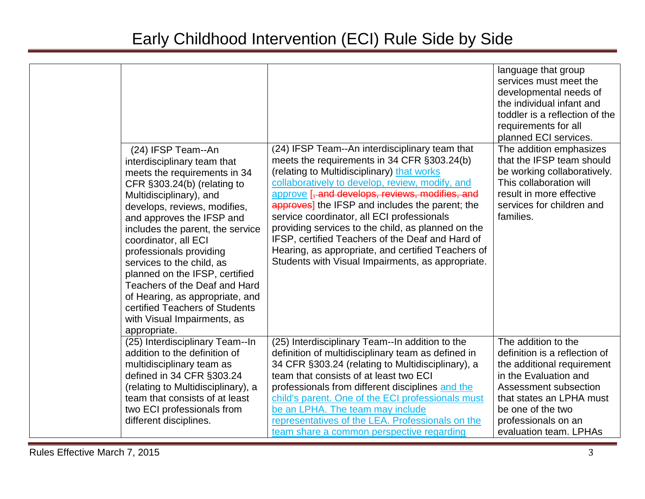| (24) IFSP Team--An<br>interdisciplinary team that<br>meets the requirements in 34<br>CFR §303.24(b) (relating to<br>Multidisciplinary), and<br>develops, reviews, modifies,<br>and approves the IFSP and<br>includes the parent, the service<br>coordinator, all ECI<br>professionals providing<br>services to the child, as<br>planned on the IFSP, certified<br>Teachers of the Deaf and Hard<br>of Hearing, as appropriate, and<br>certified Teachers of Students<br>with Visual Impairments, as<br>appropriate. | (24) IFSP Team--An interdisciplinary team that<br>meets the requirements in 34 CFR §303.24(b)<br>(relating to Multidisciplinary) that works<br>collaboratively to develop, review, modify, and<br>approve [, and develops, reviews, modifies, and<br>approves] the IFSP and includes the parent; the<br>service coordinator, all ECI professionals<br>providing services to the child, as planned on the<br>IFSP, certified Teachers of the Deaf and Hard of<br>Hearing, as appropriate, and certified Teachers of<br>Students with Visual Impairments, as appropriate. | language that group<br>services must meet the<br>developmental needs of<br>the individual infant and<br>toddler is a reflection of the<br>requirements for all<br>planned ECI services.<br>The addition emphasizes<br>that the IFSP team should<br>be working collaboratively.<br>This collaboration will<br>result in more effective<br>services for children and<br>families. |
|---------------------------------------------------------------------------------------------------------------------------------------------------------------------------------------------------------------------------------------------------------------------------------------------------------------------------------------------------------------------------------------------------------------------------------------------------------------------------------------------------------------------|-------------------------------------------------------------------------------------------------------------------------------------------------------------------------------------------------------------------------------------------------------------------------------------------------------------------------------------------------------------------------------------------------------------------------------------------------------------------------------------------------------------------------------------------------------------------------|---------------------------------------------------------------------------------------------------------------------------------------------------------------------------------------------------------------------------------------------------------------------------------------------------------------------------------------------------------------------------------|
| (25) Interdisciplinary Team--In<br>addition to the definition of<br>multidisciplinary team as<br>defined in 34 CFR §303.24<br>(relating to Multidisciplinary), a<br>team that consists of at least<br>two ECI professionals from<br>different disciplines.                                                                                                                                                                                                                                                          | (25) Interdisciplinary Team--In addition to the<br>definition of multidisciplinary team as defined in<br>34 CFR §303.24 (relating to Multidisciplinary), a<br>team that consists of at least two ECI<br>professionals from different disciplines and the<br>child's parent. One of the ECI professionals must<br>be an LPHA. The team may include<br>representatives of the LEA. Professionals on the<br>team share a common perspective regarding                                                                                                                      | The addition to the<br>definition is a reflection of<br>the additional requirement<br>in the Evaluation and<br>Assessment subsection<br>that states an LPHA must<br>be one of the two<br>professionals on an<br>evaluation team. LPHAs                                                                                                                                          |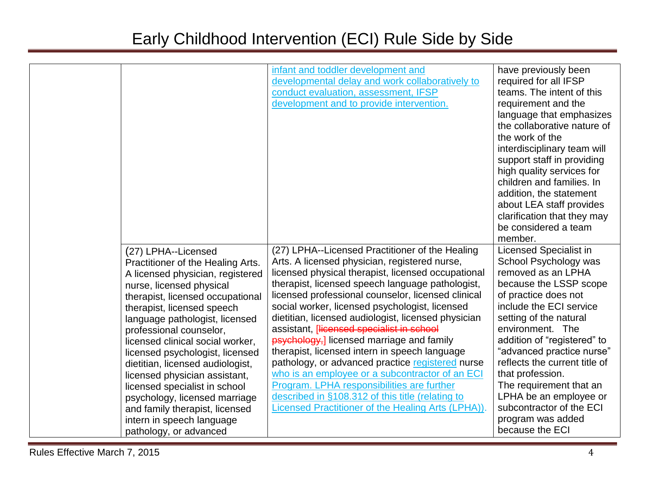|                                                                                                                                                                                                                                                                                                                                                                                                                                      | infant and toddler development and<br>developmental delay and work collaboratively to<br>conduct evaluation, assessment, IFSP<br>development and to provide intervention.                                                                                                                                                                                                                                                                                                                                                                                                                                                                                                | have previously been<br>required for all IFSP<br>teams. The intent of this<br>requirement and the<br>language that emphasizes<br>the collaborative nature of<br>the work of the<br>interdisciplinary team will<br>support staff in providing<br>high quality services for<br>children and families. In                                              |
|--------------------------------------------------------------------------------------------------------------------------------------------------------------------------------------------------------------------------------------------------------------------------------------------------------------------------------------------------------------------------------------------------------------------------------------|--------------------------------------------------------------------------------------------------------------------------------------------------------------------------------------------------------------------------------------------------------------------------------------------------------------------------------------------------------------------------------------------------------------------------------------------------------------------------------------------------------------------------------------------------------------------------------------------------------------------------------------------------------------------------|-----------------------------------------------------------------------------------------------------------------------------------------------------------------------------------------------------------------------------------------------------------------------------------------------------------------------------------------------------|
|                                                                                                                                                                                                                                                                                                                                                                                                                                      |                                                                                                                                                                                                                                                                                                                                                                                                                                                                                                                                                                                                                                                                          | addition, the statement<br>about LEA staff provides<br>clarification that they may<br>be considered a team<br>member.                                                                                                                                                                                                                               |
| (27) LPHA--Licensed<br>Practitioner of the Healing Arts.<br>A licensed physician, registered<br>nurse, licensed physical<br>therapist, licensed occupational<br>therapist, licensed speech<br>language pathologist, licensed<br>professional counselor,<br>licensed clinical social worker,<br>licensed psychologist, licensed<br>dietitian, licensed audiologist,<br>licensed physician assistant,<br>licensed specialist in school | (27) LPHA--Licensed Practitioner of the Healing<br>Arts. A licensed physician, registered nurse,<br>licensed physical therapist, licensed occupational<br>therapist, licensed speech language pathologist,<br>licensed professional counselor, licensed clinical<br>social worker, licensed psychologist, licensed<br>dietitian, licensed audiologist, licensed physician<br>assistant, Hicensed specialist in school<br>psychology,] licensed marriage and family<br>therapist, licensed intern in speech language<br>pathology, or advanced practice registered nurse<br>who is an employee or a subcontractor of an ECI<br>Program. LPHA responsibilities are further | <b>Licensed Specialist in</b><br>School Psychology was<br>removed as an LPHA<br>because the LSSP scope<br>of practice does not<br>include the ECI service<br>setting of the natural<br>environment. The<br>addition of "registered" to<br>"advanced practice nurse"<br>reflects the current title of<br>that profession.<br>The requirement that an |
| psychology, licensed marriage<br>and family therapist, licensed<br>intern in speech language<br>pathology, or advanced                                                                                                                                                                                                                                                                                                               | described in §108.312 of this title (relating to<br>Licensed Practitioner of the Healing Arts (LPHA)).                                                                                                                                                                                                                                                                                                                                                                                                                                                                                                                                                                   | LPHA be an employee or<br>subcontractor of the ECI<br>program was added<br>because the ECI                                                                                                                                                                                                                                                          |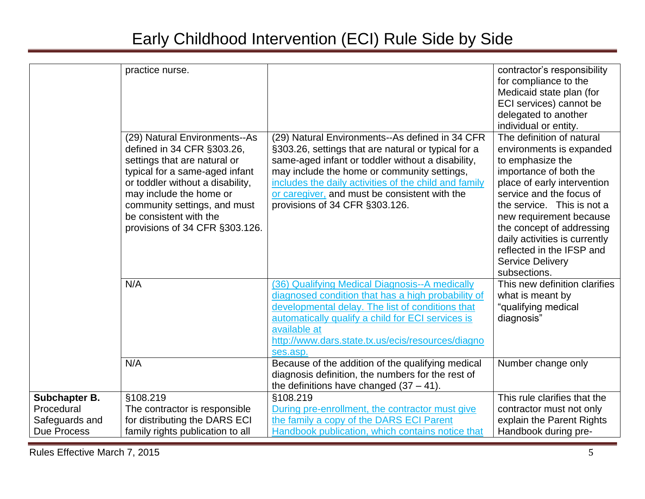|                                                                     | practice nurse.<br>(29) Natural Environments--As<br>defined in 34 CFR §303.26,<br>settings that are natural or<br>typical for a same-aged infant<br>or toddler without a disability,<br>may include the home or<br>community settings, and must<br>be consistent with the<br>provisions of 34 CFR §303.126. | (29) Natural Environments--As defined in 34 CFR<br>§303.26, settings that are natural or typical for a<br>same-aged infant or toddler without a disability,<br>may include the home or community settings,<br>includes the daily activities of the child and family<br>or caregiver, and must be consistent with the<br>provisions of 34 CFR §303.126. | contractor's responsibility<br>for compliance to the<br>Medicaid state plan (for<br>ECI services) cannot be<br>delegated to another<br>individual or entity.<br>The definition of natural<br>environments is expanded<br>to emphasize the<br>importance of both the<br>place of early intervention<br>service and the focus of<br>the service. This is not a<br>new requirement because<br>the concept of addressing<br>daily activities is currently<br>reflected in the IFSP and<br><b>Service Delivery</b><br>subsections. |
|---------------------------------------------------------------------|-------------------------------------------------------------------------------------------------------------------------------------------------------------------------------------------------------------------------------------------------------------------------------------------------------------|--------------------------------------------------------------------------------------------------------------------------------------------------------------------------------------------------------------------------------------------------------------------------------------------------------------------------------------------------------|-------------------------------------------------------------------------------------------------------------------------------------------------------------------------------------------------------------------------------------------------------------------------------------------------------------------------------------------------------------------------------------------------------------------------------------------------------------------------------------------------------------------------------|
|                                                                     | N/A                                                                                                                                                                                                                                                                                                         | (36) Qualifying Medical Diagnosis--A medically<br>diagnosed condition that has a high probability of<br>developmental delay. The list of conditions that<br>automatically qualify a child for ECI services is<br>available at<br>http://www.dars.state.tx.us/ecis/resources/diagno<br>ses.asp.                                                         | This new definition clarifies<br>what is meant by<br>"qualifying medical<br>diagnosis"                                                                                                                                                                                                                                                                                                                                                                                                                                        |
|                                                                     | N/A                                                                                                                                                                                                                                                                                                         | Because of the addition of the qualifying medical<br>diagnosis definition, the numbers for the rest of<br>the definitions have changed $(37 - 41)$ .                                                                                                                                                                                                   | Number change only                                                                                                                                                                                                                                                                                                                                                                                                                                                                                                            |
| Subchapter B.<br>Procedural<br>Safeguards and<br><b>Due Process</b> | §108.219<br>The contractor is responsible<br>for distributing the DARS ECI<br>family rights publication to all                                                                                                                                                                                              | §108.219<br>During pre-enrollment, the contractor must give<br>the family a copy of the DARS ECI Parent<br>Handbook publication, which contains notice that                                                                                                                                                                                            | This rule clarifies that the<br>contractor must not only<br>explain the Parent Rights<br>Handbook during pre-                                                                                                                                                                                                                                                                                                                                                                                                                 |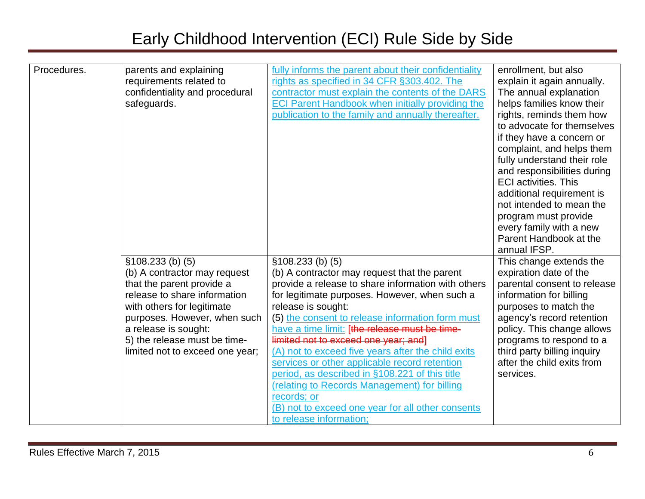| Procedures. | parents and explaining<br>requirements related to<br>confidentiality and procedural<br>safeguards.                                                                                                                                                                       | fully informs the parent about their confidentiality<br>rights as specified in 34 CFR §303.402. The<br>contractor must explain the contents of the DARS<br><b>ECI Parent Handbook when initially providing the</b><br>publication to the family and annually thereafter.                                                                                                                                                                                                                                                                                                                                                                             | enrollment, but also<br>explain it again annually.<br>The annual explanation<br>helps families know their<br>rights, reminds them how<br>to advocate for themselves<br>if they have a concern or<br>complaint, and helps them<br>fully understand their role<br>and responsibilities during<br><b>ECI activities. This</b><br>additional requirement is<br>not intended to mean the<br>program must provide<br>every family with a new<br>Parent Handbook at the |
|-------------|--------------------------------------------------------------------------------------------------------------------------------------------------------------------------------------------------------------------------------------------------------------------------|------------------------------------------------------------------------------------------------------------------------------------------------------------------------------------------------------------------------------------------------------------------------------------------------------------------------------------------------------------------------------------------------------------------------------------------------------------------------------------------------------------------------------------------------------------------------------------------------------------------------------------------------------|------------------------------------------------------------------------------------------------------------------------------------------------------------------------------------------------------------------------------------------------------------------------------------------------------------------------------------------------------------------------------------------------------------------------------------------------------------------|
|             | $$108.233$ (b) (5)<br>(b) A contractor may request<br>that the parent provide a<br>release to share information<br>with others for legitimate<br>purposes. However, when such<br>a release is sought:<br>5) the release must be time-<br>limited not to exceed one year; | $$108.233$ (b) (5)<br>(b) A contractor may request that the parent<br>provide a release to share information with others<br>for legitimate purposes. However, when such a<br>release is sought:<br>(5) the consent to release information form must<br>have a time limit: [the release must be time-<br>limited not to exceed one year; and]<br>(A) not to exceed five years after the child exits<br>services or other applicable record retention<br>period, as described in §108.221 of this title<br>(relating to Records Management) for billing<br>records; or<br>(B) not to exceed one year for all other consents<br>to release information; | annual IFSP.<br>This change extends the<br>expiration date of the<br>parental consent to release<br>information for billing<br>purposes to match the<br>agency's record retention<br>policy. This change allows<br>programs to respond to a<br>third party billing inquiry<br>after the child exits from<br>services.                                                                                                                                            |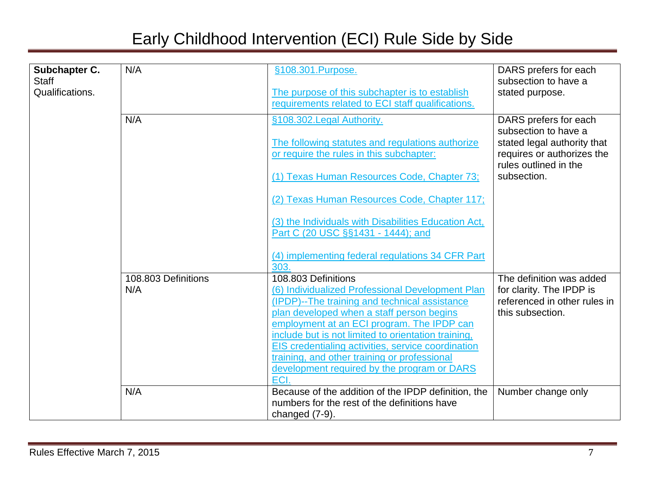| Subchapter C.<br>Staff | N/A                 | §108.301.Purpose.                                                                          | DARS prefers for each<br>subsection to have a            |
|------------------------|---------------------|--------------------------------------------------------------------------------------------|----------------------------------------------------------|
| Qualifications.        |                     | The purpose of this subchapter is to establish                                             | stated purpose.                                          |
|                        |                     | requirements related to ECI staff qualifications.                                          |                                                          |
|                        |                     |                                                                                            |                                                          |
|                        | N/A                 | §108.302. Legal Authority.                                                                 | DARS prefers for each<br>subsection to have a            |
|                        |                     | The following statutes and regulations authorize                                           | stated legal authority that                              |
|                        |                     | or require the rules in this subchapter:                                                   | requires or authorizes the                               |
|                        |                     |                                                                                            | rules outlined in the                                    |
|                        |                     | (1) Texas Human Resources Code, Chapter 73;                                                | subsection.                                              |
|                        |                     |                                                                                            |                                                          |
|                        |                     | (2) Texas Human Resources Code, Chapter 117;                                               |                                                          |
|                        |                     | (3) the Individuals with Disabilities Education Act,                                       |                                                          |
|                        |                     | Part C (20 USC §§1431 - 1444); and                                                         |                                                          |
|                        |                     |                                                                                            |                                                          |
|                        |                     | (4) implementing federal regulations 34 CFR Part                                           |                                                          |
|                        |                     | 303.                                                                                       |                                                          |
|                        | 108.803 Definitions | 108.803 Definitions                                                                        | The definition was added                                 |
|                        | N/A                 | (6) Individualized Professional Development Plan                                           | for clarity. The IPDP is<br>referenced in other rules in |
|                        |                     | (IPDP)--The training and technical assistance<br>plan developed when a staff person begins | this subsection.                                         |
|                        |                     | employment at an ECI program. The IPDP can                                                 |                                                          |
|                        |                     | include but is not limited to orientation training,                                        |                                                          |
|                        |                     | EIS credentialing activities, service coordination                                         |                                                          |
|                        |                     | training, and other training or professional                                               |                                                          |
|                        |                     | development required by the program or DARS                                                |                                                          |
|                        |                     | ECI.                                                                                       |                                                          |
|                        | N/A                 | Because of the addition of the IPDP definition, the                                        | Number change only                                       |
|                        |                     | numbers for the rest of the definitions have                                               |                                                          |
|                        |                     | changed (7-9).                                                                             |                                                          |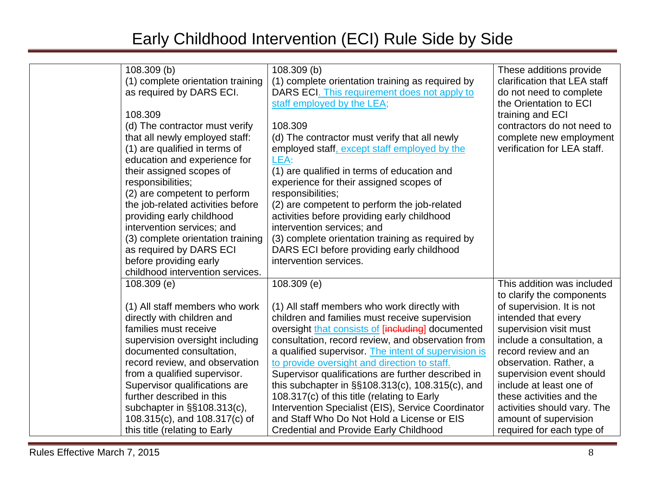| 108.309 (b)                       | 108.309(b)                                            | These additions provide      |
|-----------------------------------|-------------------------------------------------------|------------------------------|
| (1) complete orientation training | (1) complete orientation training as required by      | clarification that LEA staff |
| as required by DARS ECI.          | DARS ECI. This requirement does not apply to          | do not need to complete      |
|                                   | staff employed by the LEA;                            | the Orientation to ECI       |
| 108.309                           |                                                       | training and ECI             |
| (d) The contractor must verify    | 108.309                                               | contractors do not need to   |
| that all newly employed staff:    | (d) The contractor must verify that all newly         | complete new employment      |
| (1) are qualified in terms of     | employed staff, except staff employed by the          | verification for LEA staff.  |
| education and experience for      | LEA:                                                  |                              |
| their assigned scopes of          | (1) are qualified in terms of education and           |                              |
| responsibilities;                 | experience for their assigned scopes of               |                              |
| (2) are competent to perform      | responsibilities;                                     |                              |
| the job-related activities before | (2) are competent to perform the job-related          |                              |
| providing early childhood         | activities before providing early childhood           |                              |
| intervention services; and        | intervention services; and                            |                              |
| (3) complete orientation training | (3) complete orientation training as required by      |                              |
| as required by DARS ECI           | DARS ECI before providing early childhood             |                              |
| before providing early            | intervention services.                                |                              |
| childhood intervention services.  |                                                       |                              |
| $108.309$ (e)                     | 108.309(e)                                            | This addition was included   |
|                                   |                                                       | to clarify the components    |
| (1) All staff members who work    | (1) All staff members who work directly with          | of supervision. It is not    |
| directly with children and        | children and families must receive supervision        | intended that every          |
| families must receive             | oversight that consists of [including] documented     | supervision visit must       |
| supervision oversight including   | consultation, record review, and observation from     | include a consultation, a    |
| documented consultation,          | a qualified supervisor. The intent of supervision is  | record review and an         |
| record review, and observation    | to provide oversight and direction to staff.          | observation. Rather, a       |
| from a qualified supervisor.      | Supervisor qualifications are further described in    | supervision event should     |
| Supervisor qualifications are     | this subchapter in $\S$ \$108.313(c), 108.315(c), and | include at least one of      |
| further described in this         | 108.317(c) of this title (relating to Early           | these activities and the     |
| subchapter in §§108.313(c),       | Intervention Specialist (EIS), Service Coordinator    | activities should vary. The  |
| 108.315(c), and 108.317(c) of     | and Staff Who Do Not Hold a License or EIS            | amount of supervision        |
| this title (relating to Early     | <b>Credential and Provide Early Childhood</b>         | required for each type of    |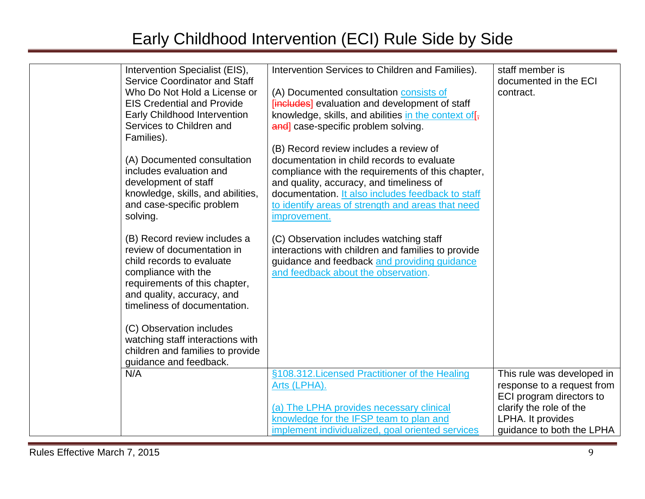| Intervention Specialist (EIS),<br><b>Service Coordinator and Staff</b> | Intervention Services to Children and Families).                                          | staff member is<br>documented in the ECI |
|------------------------------------------------------------------------|-------------------------------------------------------------------------------------------|------------------------------------------|
| Who Do Not Hold a License or<br><b>EIS Credential and Provide</b>      | (A) Documented consultation consists of<br>[includes] evaluation and development of staff | contract.                                |
| <b>Early Childhood Intervention</b>                                    | knowledge, skills, and abilities in the context of $\mathfrak{f}_{\bar{x}}$               |                                          |
| Services to Children and<br>Families).                                 | and] case-specific problem solving.                                                       |                                          |
|                                                                        | (B) Record review includes a review of                                                    |                                          |
| (A) Documented consultation                                            | documentation in child records to evaluate                                                |                                          |
| includes evaluation and                                                | compliance with the requirements of this chapter,                                         |                                          |
| development of staff                                                   | and quality, accuracy, and timeliness of                                                  |                                          |
| knowledge, skills, and abilities,                                      | documentation. It also includes feedback to staff                                         |                                          |
| and case-specific problem                                              | to identify areas of strength and areas that need                                         |                                          |
| solving.                                                               | improvement.                                                                              |                                          |
| (B) Record review includes a                                           | (C) Observation includes watching staff                                                   |                                          |
| review of documentation in                                             | interactions with children and families to provide                                        |                                          |
| child records to evaluate                                              | guidance and feedback and providing guidance                                              |                                          |
| compliance with the                                                    | and feedback about the observation.                                                       |                                          |
| requirements of this chapter,                                          |                                                                                           |                                          |
| and quality, accuracy, and                                             |                                                                                           |                                          |
| timeliness of documentation.                                           |                                                                                           |                                          |
| (C) Observation includes                                               |                                                                                           |                                          |
| watching staff interactions with                                       |                                                                                           |                                          |
| children and families to provide                                       |                                                                                           |                                          |
| guidance and feedback.                                                 |                                                                                           |                                          |
| N/A                                                                    | §108.312. Licensed Practitioner of the Healing                                            | This rule was developed in               |
|                                                                        | Arts (LPHA).                                                                              | response to a request from               |
|                                                                        |                                                                                           | ECI program directors to                 |
|                                                                        | (a) The LPHA provides necessary clinical                                                  | clarify the role of the                  |
|                                                                        | knowledge for the IFSP team to plan and                                                   | LPHA. It provides                        |
|                                                                        | implement individualized, goal oriented services                                          | guidance to both the LPHA                |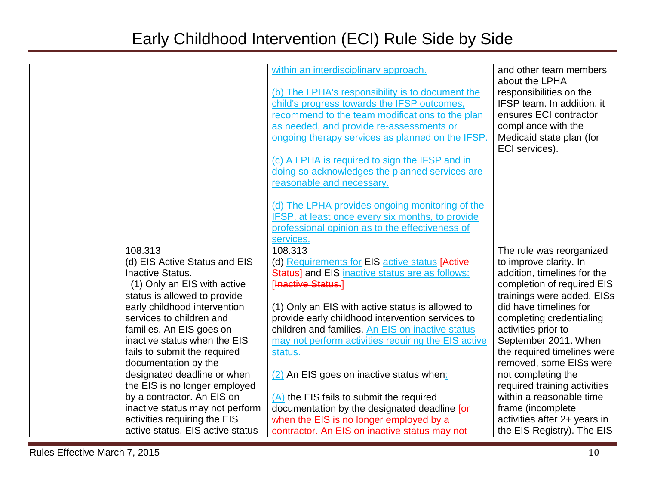|                                  | within an interdisciplinary approach.               | and other team members       |
|----------------------------------|-----------------------------------------------------|------------------------------|
|                                  |                                                     | about the LPHA               |
|                                  | (b) The LPHA's responsibility is to document the    | responsibilities on the      |
|                                  | child's progress towards the IFSP outcomes,         | IFSP team. In addition, it   |
|                                  | recommend to the team modifications to the plan     | ensures ECI contractor       |
|                                  | as needed, and provide re-assessments or            | compliance with the          |
|                                  | ongoing therapy services as planned on the IFSP.    | Medicaid state plan (for     |
|                                  |                                                     | ECI services).               |
|                                  | (c) A LPHA is required to sign the IFSP and in      |                              |
|                                  | doing so acknowledges the planned services are      |                              |
|                                  | reasonable and necessary.                           |                              |
|                                  |                                                     |                              |
|                                  | (d) The LPHA provides ongoing monitoring of the     |                              |
|                                  | IFSP, at least once every six months, to provide    |                              |
|                                  | professional opinion as to the effectiveness of     |                              |
|                                  | services.                                           |                              |
| 108.313                          | 108.313                                             | The rule was reorganized     |
| (d) EIS Active Status and EIS    | (d) Requirements for EIS active status [Active      | to improve clarity. In       |
| Inactive Status.                 | Status] and EIS inactive status are as follows:     | addition, timelines for the  |
| (1) Only an EIS with active      | [Inactive Status.]                                  | completion of required EIS   |
| status is allowed to provide     |                                                     | trainings were added. EISs   |
| early childhood intervention     | (1) Only an EIS with active status is allowed to    | did have timelines for       |
| services to children and         | provide early childhood intervention services to    | completing credentialing     |
| families. An EIS goes on         | children and families. An EIS on inactive status    | activities prior to          |
| inactive status when the EIS     | may not perform activities requiring the EIS active | September 2011. When         |
| fails to submit the required     | status.                                             | the required timelines were  |
| documentation by the             |                                                     | removed, some EISs were      |
| designated deadline or when      | (2) An EIS goes on inactive status when:            | not completing the           |
| the EIS is no longer employed    |                                                     | required training activities |
| by a contractor. An EIS on       | $(A)$ the EIS fails to submit the required          | within a reasonable time     |
| inactive status may not perform  | documentation by the designated deadline [or        | frame (incomplete            |
| activities requiring the EIS     | when the EIS is no longer employed by a             | activities after 2+ years in |
| active status. EIS active status | contractor. An EIS on inactive status may not       | the EIS Registry). The EIS   |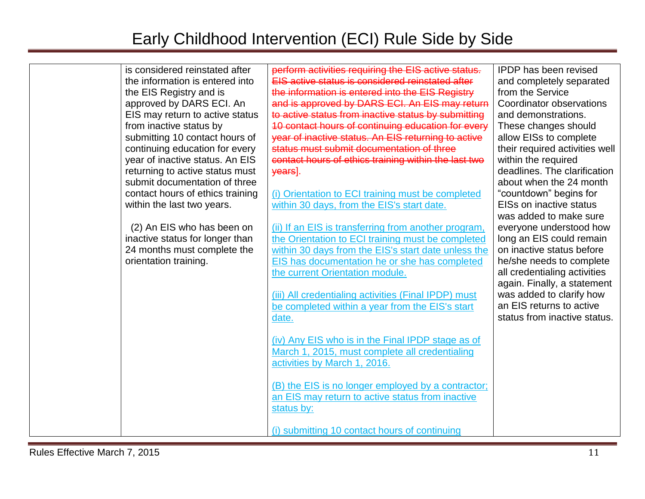| is considered reinstated after<br>the information is entered into<br>the EIS Registry and is<br>approved by DARS ECI. An<br>EIS may return to active status<br>from inactive status by<br>submitting 10 contact hours of<br>continuing education for every<br>year of inactive status. An EIS<br>returning to active status must<br>submit documentation of three<br>contact hours of ethics training<br>within the last two years.<br>(2) An EIS who has been on<br>inactive status for longer than<br>24 months must complete the<br>orientation training. | perform activities requiring the EIS active status.<br>EIS active status is considered reinstated after<br>the information is entered into the EIS Registry<br>and is approved by DARS ECI. An EIS may return<br>to active status from inactive status by submitting<br>10 contact hours of continuing education for every<br>year of inactive status. An EIS returning to active<br>status must submit documentation of three<br>contact hours of ethics training within the last two<br>years].<br>(i) Orientation to ECI training must be completed<br>within 30 days, from the EIS's start date.<br>(ii) If an EIS is transferring from another program,<br>the Orientation to ECI training must be completed<br>within 30 days from the EIS's start date unless the<br>EIS has documentation he or she has completed<br>the current Orientation module.<br>(iii) All credentialing activities (Final IPDP) must<br>be completed within a year from the EIS's start<br>date.<br>(iv) Any EIS who is in the Final IPDP stage as of<br>March 1, 2015, must complete all credentialing<br>activities by March 1, 2016.<br>(B) the EIS is no longer employed by a contractor;<br>an EIS may return to active status from inactive<br>status by:<br>(i) submitting 10 contact hours of continuing | <b>IPDP</b> has been revised<br>and completely separated<br>from the Service<br>Coordinator observations<br>and demonstrations.<br>These changes should<br>allow EISs to complete<br>their required activities well<br>within the required<br>deadlines. The clarification<br>about when the 24 month<br>"countdown" begins for<br><b>EISs on inactive status</b><br>was added to make sure<br>everyone understood how<br>long an EIS could remain<br>on inactive status before<br>he/she needs to complete<br>all credentialing activities<br>again. Finally, a statement<br>was added to clarify how<br>an EIS returns to active<br>status from inactive status. |
|--------------------------------------------------------------------------------------------------------------------------------------------------------------------------------------------------------------------------------------------------------------------------------------------------------------------------------------------------------------------------------------------------------------------------------------------------------------------------------------------------------------------------------------------------------------|--------------------------------------------------------------------------------------------------------------------------------------------------------------------------------------------------------------------------------------------------------------------------------------------------------------------------------------------------------------------------------------------------------------------------------------------------------------------------------------------------------------------------------------------------------------------------------------------------------------------------------------------------------------------------------------------------------------------------------------------------------------------------------------------------------------------------------------------------------------------------------------------------------------------------------------------------------------------------------------------------------------------------------------------------------------------------------------------------------------------------------------------------------------------------------------------------------------------------------------------------------------------------------------------------|--------------------------------------------------------------------------------------------------------------------------------------------------------------------------------------------------------------------------------------------------------------------------------------------------------------------------------------------------------------------------------------------------------------------------------------------------------------------------------------------------------------------------------------------------------------------------------------------------------------------------------------------------------------------|
|--------------------------------------------------------------------------------------------------------------------------------------------------------------------------------------------------------------------------------------------------------------------------------------------------------------------------------------------------------------------------------------------------------------------------------------------------------------------------------------------------------------------------------------------------------------|--------------------------------------------------------------------------------------------------------------------------------------------------------------------------------------------------------------------------------------------------------------------------------------------------------------------------------------------------------------------------------------------------------------------------------------------------------------------------------------------------------------------------------------------------------------------------------------------------------------------------------------------------------------------------------------------------------------------------------------------------------------------------------------------------------------------------------------------------------------------------------------------------------------------------------------------------------------------------------------------------------------------------------------------------------------------------------------------------------------------------------------------------------------------------------------------------------------------------------------------------------------------------------------------------|--------------------------------------------------------------------------------------------------------------------------------------------------------------------------------------------------------------------------------------------------------------------------------------------------------------------------------------------------------------------------------------------------------------------------------------------------------------------------------------------------------------------------------------------------------------------------------------------------------------------------------------------------------------------|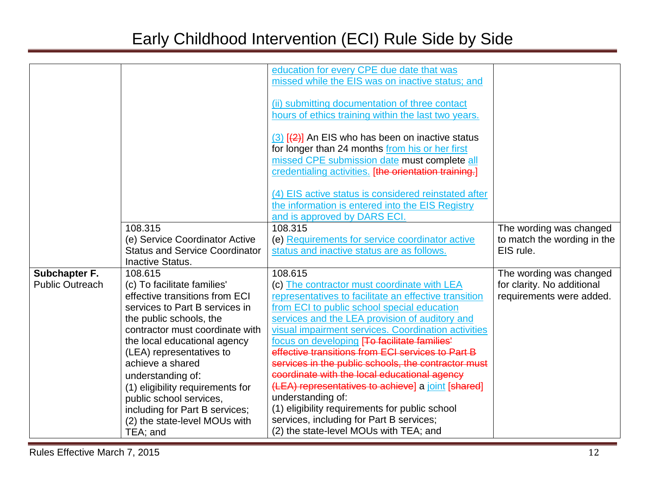|                        |                                       | education for every CPE due date that was             |                             |
|------------------------|---------------------------------------|-------------------------------------------------------|-----------------------------|
|                        |                                       | missed while the EIS was on inactive status; and      |                             |
|                        |                                       |                                                       |                             |
|                        |                                       | (ii) submitting documentation of three contact        |                             |
|                        |                                       | hours of ethics training within the last two years.   |                             |
|                        |                                       |                                                       |                             |
|                        |                                       | $(3)$ $(4)$ An EIS who has been on inactive status    |                             |
|                        |                                       | for longer than 24 months from his or her first       |                             |
|                        |                                       | missed CPE submission date must complete all          |                             |
|                        |                                       | credentialing activities. [the orientation training.] |                             |
|                        |                                       |                                                       |                             |
|                        |                                       | (4) EIS active status is considered reinstated after  |                             |
|                        |                                       | the information is entered into the EIS Registry      |                             |
|                        |                                       | and is approved by DARS ECI.                          |                             |
|                        | 108.315                               | 108.315                                               | The wording was changed     |
|                        | (e) Service Coordinator Active        | (e) Requirements for service coordinator active       | to match the wording in the |
|                        | <b>Status and Service Coordinator</b> | status and inactive status are as follows.            | EIS rule.                   |
|                        | <b>Inactive Status.</b>               |                                                       |                             |
| Subchapter F.          | 108.615                               | 108.615                                               | The wording was changed     |
| <b>Public Outreach</b> | (c) To facilitate families'           | (c) The contractor must coordinate with LEA           | for clarity. No additional  |
|                        | effective transitions from ECI        | representatives to facilitate an effective transition | requirements were added.    |
|                        | services to Part B services in        | from ECI to public school special education           |                             |
|                        | the public schools, the               | services and the LEA provision of auditory and        |                             |
|                        | contractor must coordinate with       | visual impairment services. Coordination activities   |                             |
|                        | the local educational agency          | focus on developing [To facilitate families'          |                             |
|                        | (LEA) representatives to              | effective transitions from ECI services to Part B     |                             |
|                        | achieve a shared                      | services in the public schools, the contractor must   |                             |
|                        | understanding of:                     | coordinate with the local educational agency          |                             |
|                        | (1) eligibility requirements for      | (LEA) representatives to achieve] a joint [shared]    |                             |
|                        | public school services,               | understanding of:                                     |                             |
|                        | including for Part B services;        | (1) eligibility requirements for public school        |                             |
|                        | (2) the state-level MOUs with         | services, including for Part B services;              |                             |
|                        | TEA; and                              | (2) the state-level MOUs with TEA; and                |                             |
|                        |                                       |                                                       |                             |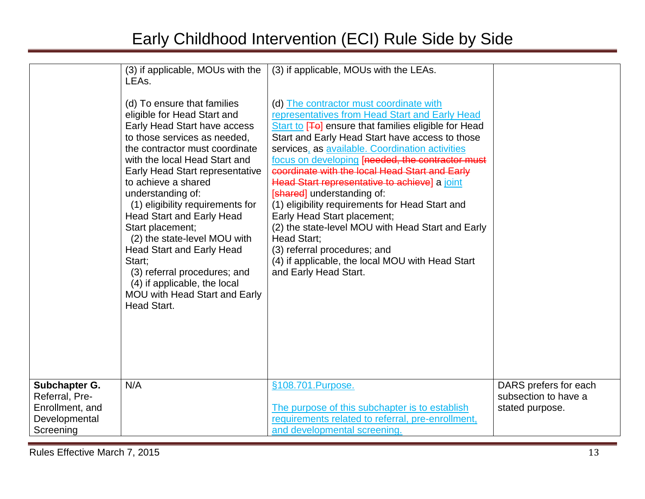| to achieve a shared<br>understanding of:<br>(1) eligibility requirements for<br><b>Head Start and Early Head</b><br>Start placement;<br>Start;<br>Head Start. | (2) the state-level MOU with<br><b>Head Start and Early Head</b><br>(3) referral procedures; and<br>(4) if applicable, the local<br>MOU with Head Start and Early | (2) the state-level MOU with Head Start and Early<br>Head Start;<br>(3) referral procedures; and<br>(4) if applicable, the local MOU with Head Start<br>and Early Head Start. |                                                                  |
|---------------------------------------------------------------------------------------------------------------------------------------------------------------|-------------------------------------------------------------------------------------------------------------------------------------------------------------------|-------------------------------------------------------------------------------------------------------------------------------------------------------------------------------|------------------------------------------------------------------|
| N/A<br>Subchapter G.<br>Referral, Pre-<br>Enrollment, and<br>Developmental<br>Screening                                                                       |                                                                                                                                                                   | §108.701.Purpose.<br>The purpose of this subchapter is to establish<br>requirements related to referral, pre-enrollment,<br>and developmental screening.                      | DARS prefers for each<br>subsection to have a<br>stated purpose. |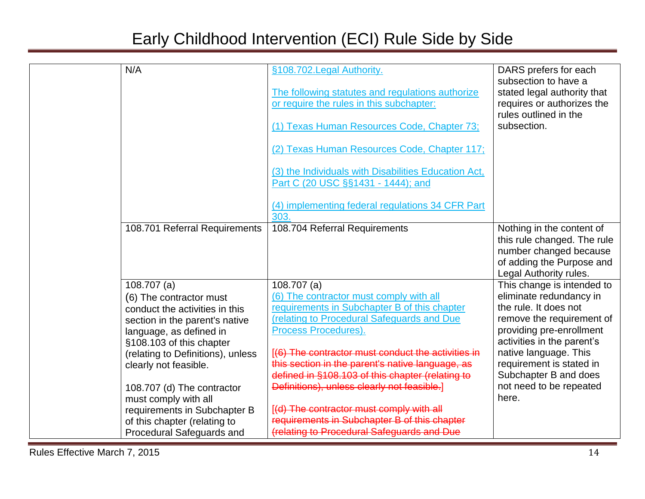| N/A                                                          | §108.702. Legal Authority.<br>The following statutes and regulations authorize<br>or require the rules in this subchapter:<br>(1) Texas Human Resources Code, Chapter 73;<br>(2) Texas Human Resources Code, Chapter 117;<br>(3) the Individuals with Disabilities Education Act,<br>Part C (20 USC §§1431 - 1444); and<br>(4) implementing federal regulations 34 CFR Part<br>303. | DARS prefers for each<br>subsection to have a<br>stated legal authority that<br>requires or authorizes the<br>rules outlined in the<br>subsection. |
|--------------------------------------------------------------|-------------------------------------------------------------------------------------------------------------------------------------------------------------------------------------------------------------------------------------------------------------------------------------------------------------------------------------------------------------------------------------|----------------------------------------------------------------------------------------------------------------------------------------------------|
| 108.701 Referral Requirements                                | 108.704 Referral Requirements                                                                                                                                                                                                                                                                                                                                                       | Nothing in the content of<br>this rule changed. The rule<br>number changed because<br>of adding the Purpose and<br>Legal Authority rules.          |
| $108.707$ (a)                                                | $108.707$ (a)                                                                                                                                                                                                                                                                                                                                                                       | This change is intended to                                                                                                                         |
| (6) The contractor must                                      | (6) The contractor must comply with all                                                                                                                                                                                                                                                                                                                                             | eliminate redundancy in                                                                                                                            |
| conduct the activities in this                               | requirements in Subchapter B of this chapter                                                                                                                                                                                                                                                                                                                                        | the rule. It does not                                                                                                                              |
| section in the parent's native                               | (relating to Procedural Safeguards and Due                                                                                                                                                                                                                                                                                                                                          | remove the requirement of                                                                                                                          |
| language, as defined in                                      | Process Procedures).                                                                                                                                                                                                                                                                                                                                                                | providing pre-enrollment                                                                                                                           |
| §108.103 of this chapter                                     |                                                                                                                                                                                                                                                                                                                                                                                     | activities in the parent's                                                                                                                         |
| (relating to Definitions), unless                            | [(6) The contractor must conduct the activities in                                                                                                                                                                                                                                                                                                                                  | native language. This                                                                                                                              |
| clearly not feasible.                                        | this section in the parent's native language, as<br>defined in §108.103 of this chapter (relating to                                                                                                                                                                                                                                                                                | requirement is stated in<br>Subchapter B and does                                                                                                  |
|                                                              | Definitions), unless clearly not feasible.]                                                                                                                                                                                                                                                                                                                                         | not need to be repeated                                                                                                                            |
| 108.707 (d) The contractor                                   |                                                                                                                                                                                                                                                                                                                                                                                     | here.                                                                                                                                              |
| must comply with all                                         | [(d) The contractor must comply with all                                                                                                                                                                                                                                                                                                                                            |                                                                                                                                                    |
| requirements in Subchapter B<br>of this chapter (relating to | requirements in Subchapter B of this chapter                                                                                                                                                                                                                                                                                                                                        |                                                                                                                                                    |
| Procedural Safeguards and                                    | (relating to Procedural Safeguards and Due                                                                                                                                                                                                                                                                                                                                          |                                                                                                                                                    |
|                                                              |                                                                                                                                                                                                                                                                                                                                                                                     |                                                                                                                                                    |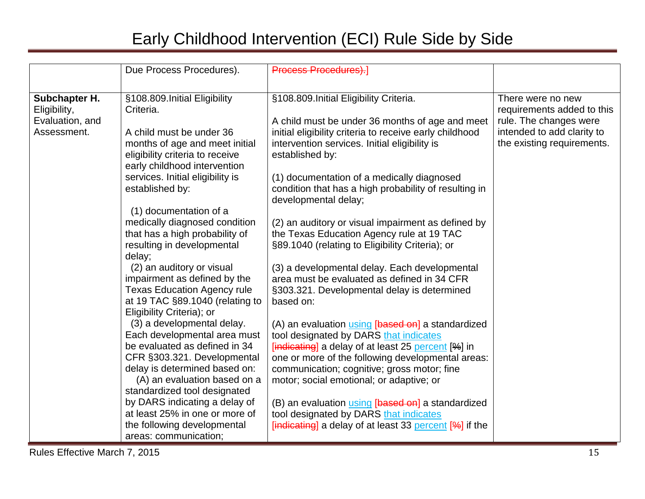|                 | Due Process Procedures).           | <b>Process Procedures).</b>                                |                            |
|-----------------|------------------------------------|------------------------------------------------------------|----------------------------|
|                 |                                    |                                                            |                            |
| Subchapter H.   | §108.809. Initial Eligibility      | §108.809. Initial Eligibility Criteria.                    | There were no new          |
| Eligibility,    | Criteria.                          |                                                            | requirements added to this |
| Evaluation, and |                                    | A child must be under 36 months of age and meet            | rule. The changes were     |
| Assessment.     | A child must be under 36           | initial eligibility criteria to receive early childhood    | intended to add clarity to |
|                 | months of age and meet initial     | intervention services. Initial eligibility is              | the existing requirements. |
|                 | eligibility criteria to receive    | established by:                                            |                            |
|                 | early childhood intervention       |                                                            |                            |
|                 | services. Initial eligibility is   | (1) documentation of a medically diagnosed                 |                            |
|                 | established by:                    | condition that has a high probability of resulting in      |                            |
|                 |                                    | developmental delay;                                       |                            |
|                 | (1) documentation of a             |                                                            |                            |
|                 | medically diagnosed condition      | (2) an auditory or visual impairment as defined by         |                            |
|                 | that has a high probability of     | the Texas Education Agency rule at 19 TAC                  |                            |
|                 | resulting in developmental         | §89.1040 (relating to Eligibility Criteria); or            |                            |
|                 | delay;                             |                                                            |                            |
|                 | (2) an auditory or visual          | (3) a developmental delay. Each developmental              |                            |
|                 | impairment as defined by the       | area must be evaluated as defined in 34 CFR                |                            |
|                 | <b>Texas Education Agency rule</b> | §303.321. Developmental delay is determined                |                            |
|                 | at 19 TAC §89.1040 (relating to    | based on:                                                  |                            |
|                 | Eligibility Criteria); or          |                                                            |                            |
|                 | (3) a developmental delay.         | (A) an evaluation using [based on] a standardized          |                            |
|                 | Each developmental area must       | tool designated by DARS that indicates                     |                            |
|                 | be evaluated as defined in 34      | $[indicating]$ a delay of at least 25 percent $[%]$ in     |                            |
|                 | CFR §303.321. Developmental        | one or more of the following developmental areas:          |                            |
|                 | delay is determined based on:      | communication; cognitive; gross motor; fine                |                            |
|                 | (A) an evaluation based on a       | motor; social emotional; or adaptive; or                   |                            |
|                 | standardized tool designated       |                                                            |                            |
|                 | by DARS indicating a delay of      | (B) an evaluation <i>using</i> [based on] a standardized   |                            |
|                 | at least 25% in one or more of     | tool designated by DARS that indicates                     |                            |
|                 | the following developmental        | $[indicating]$ a delay of at least 33 percent $[%]$ if the |                            |
|                 | areas: communication;              |                                                            |                            |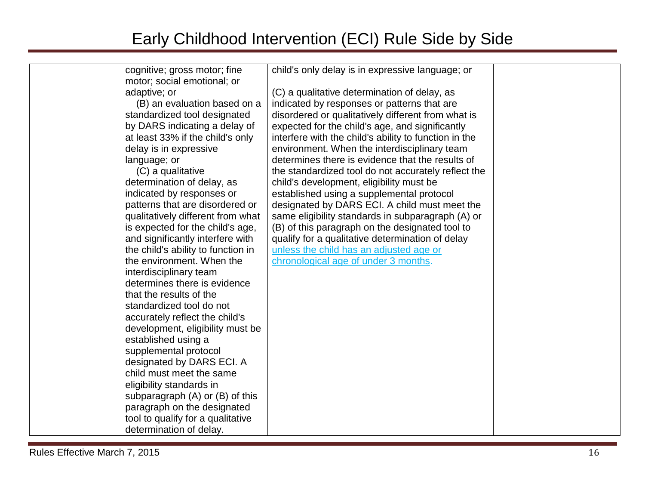| cognitive; gross motor; fine        | child's only delay is in expressive language; or      |  |
|-------------------------------------|-------------------------------------------------------|--|
| motor; social emotional; or         |                                                       |  |
| adaptive; or                        | (C) a qualitative determination of delay, as          |  |
| (B) an evaluation based on a        | indicated by responses or patterns that are           |  |
| standardized tool designated        | disordered or qualitatively different from what is    |  |
| by DARS indicating a delay of       | expected for the child's age, and significantly       |  |
| at least 33% if the child's only    | interfere with the child's ability to function in the |  |
| delay is in expressive              | environment. When the interdisciplinary team          |  |
| language; or                        | determines there is evidence that the results of      |  |
| (C) a qualitative                   | the standardized tool do not accurately reflect the   |  |
| determination of delay, as          | child's development, eligibility must be              |  |
| indicated by responses or           | established using a supplemental protocol             |  |
| patterns that are disordered or     | designated by DARS ECI. A child must meet the         |  |
| qualitatively different from what   | same eligibility standards in subparagraph (A) or     |  |
| is expected for the child's age,    | (B) of this paragraph on the designated tool to       |  |
| and significantly interfere with    | qualify for a qualitative determination of delay      |  |
| the child's ability to function in  | unless the child has an adjusted age or               |  |
| the environment. When the           | chronological age of under 3 months.                  |  |
| interdisciplinary team              |                                                       |  |
| determines there is evidence        |                                                       |  |
| that the results of the             |                                                       |  |
| standardized tool do not            |                                                       |  |
| accurately reflect the child's      |                                                       |  |
| development, eligibility must be    |                                                       |  |
| established using a                 |                                                       |  |
| supplemental protocol               |                                                       |  |
| designated by DARS ECI. A           |                                                       |  |
| child must meet the same            |                                                       |  |
| eligibility standards in            |                                                       |  |
| subparagraph $(A)$ or $(B)$ of this |                                                       |  |
| paragraph on the designated         |                                                       |  |
| tool to qualify for a qualitative   |                                                       |  |
| determination of delay.             |                                                       |  |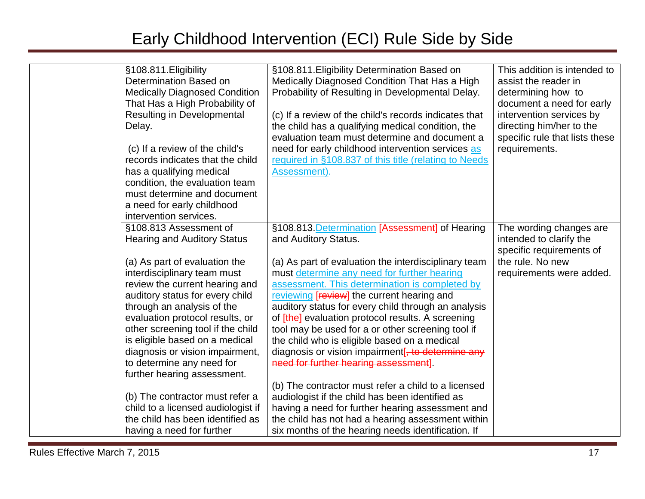| §108.811. Eligibility<br>Determination Based on<br><b>Medically Diagnosed Condition</b><br>That Has a High Probability of<br><b>Resulting in Developmental</b><br>Delay.<br>(c) If a review of the child's<br>records indicates that the child<br>has a qualifying medical<br>condition, the evaluation team<br>must determine and document<br>a need for early childhood<br>intervention services.                                                                                                               | §108.811. Eligibility Determination Based on<br>Medically Diagnosed Condition That Has a High<br>Probability of Resulting in Developmental Delay.<br>(c) If a review of the child's records indicates that<br>the child has a qualifying medical condition, the<br>evaluation team must determine and document a<br>need for early childhood intervention services as<br>required in §108.837 of this title (relating to Needs<br>Assessment).                                                                                                                                                                                                                                                                                                                          | This addition is intended to<br>assist the reader in<br>determining how to<br>document a need for early<br>intervention services by<br>directing him/her to the<br>specific rule that lists these<br>requirements. |
|-------------------------------------------------------------------------------------------------------------------------------------------------------------------------------------------------------------------------------------------------------------------------------------------------------------------------------------------------------------------------------------------------------------------------------------------------------------------------------------------------------------------|-------------------------------------------------------------------------------------------------------------------------------------------------------------------------------------------------------------------------------------------------------------------------------------------------------------------------------------------------------------------------------------------------------------------------------------------------------------------------------------------------------------------------------------------------------------------------------------------------------------------------------------------------------------------------------------------------------------------------------------------------------------------------|--------------------------------------------------------------------------------------------------------------------------------------------------------------------------------------------------------------------|
| §108.813 Assessment of<br><b>Hearing and Auditory Status</b><br>(a) As part of evaluation the<br>interdisciplinary team must<br>review the current hearing and<br>auditory status for every child<br>through an analysis of the<br>evaluation protocol results, or<br>other screening tool if the child<br>is eligible based on a medical<br>diagnosis or vision impairment,<br>to determine any need for<br>further hearing assessment.<br>(b) The contractor must refer a<br>child to a licensed audiologist if | §108.813. Determination [Assessment] of Hearing<br>and Auditory Status.<br>(a) As part of evaluation the interdisciplinary team<br>must determine any need for further hearing<br>assessment. This determination is completed by<br>reviewing [review] the current hearing and<br>auditory status for every child through an analysis<br>of [the] evaluation protocol results. A screening<br>tool may be used for a or other screening tool if<br>the child who is eligible based on a medical<br>diagnosis or vision impairment <sup>[, to determine any</sup><br>need for further hearing assessment].<br>(b) The contractor must refer a child to a licensed<br>audiologist if the child has been identified as<br>having a need for further hearing assessment and | The wording changes are<br>intended to clarify the<br>specific requirements of<br>the rule. No new<br>requirements were added.                                                                                     |
| the child has been identified as<br>having a need for further                                                                                                                                                                                                                                                                                                                                                                                                                                                     | the child has not had a hearing assessment within<br>six months of the hearing needs identification. If                                                                                                                                                                                                                                                                                                                                                                                                                                                                                                                                                                                                                                                                 |                                                                                                                                                                                                                    |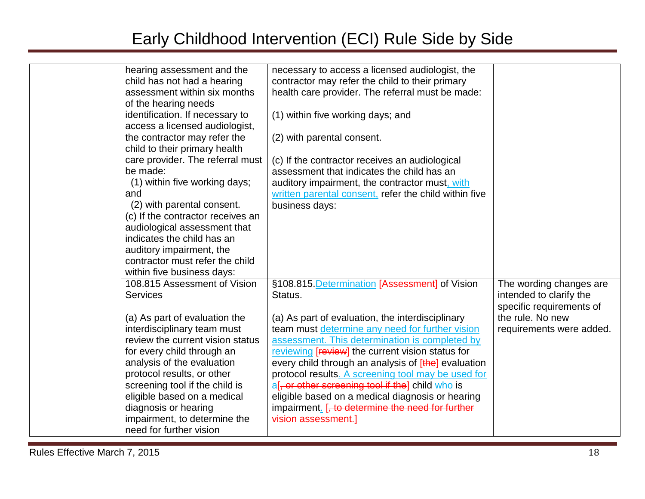| hearing assessment and the        | necessary to access a licensed audiologist, the       |                          |
|-----------------------------------|-------------------------------------------------------|--------------------------|
| child has not had a hearing       | contractor may refer the child to their primary       |                          |
| assessment within six months      | health care provider. The referral must be made:      |                          |
| of the hearing needs              |                                                       |                          |
| identification. If necessary to   | (1) within five working days; and                     |                          |
| access a licensed audiologist,    |                                                       |                          |
| the contractor may refer the      | (2) with parental consent.                            |                          |
| child to their primary health     |                                                       |                          |
| care provider. The referral must  | (c) If the contractor receives an audiological        |                          |
| be made:                          | assessment that indicates the child has an            |                          |
| (1) within five working days;     | auditory impairment, the contractor must, with        |                          |
| and                               | written parental consent, refer the child within five |                          |
| (2) with parental consent.        | business days:                                        |                          |
| (c) If the contractor receives an |                                                       |                          |
| audiological assessment that      |                                                       |                          |
| indicates the child has an        |                                                       |                          |
| auditory impairment, the          |                                                       |                          |
| contractor must refer the child   |                                                       |                          |
| within five business days:        |                                                       |                          |
| 108.815 Assessment of Vision      | §108.815. Determination [Assessment] of Vision        | The wording changes are  |
| <b>Services</b>                   | Status.                                               | intended to clarify the  |
|                                   |                                                       | specific requirements of |
| (a) As part of evaluation the     | (a) As part of evaluation, the interdisciplinary      | the rule. No new         |
| interdisciplinary team must       | team must determine any need for further vision       | requirements were added. |
| review the current vision status  | assessment. This determination is completed by        |                          |
| for every child through an        | reviewing [review] the current vision status for      |                          |
| analysis of the evaluation        | every child through an analysis of [the] evaluation   |                          |
| protocol results, or other        | protocol results. A screening tool may be used for    |                          |
| screening tool if the child is    | af, or other screening tool if the] child who is      |                          |
| eligible based on a medical       | eligible based on a medical diagnosis or hearing      |                          |
| diagnosis or hearing              | impairment. [, to determine the need for further      |                          |
| impairment, to determine the      | vision assessment.]                                   |                          |
| need for further vision           |                                                       |                          |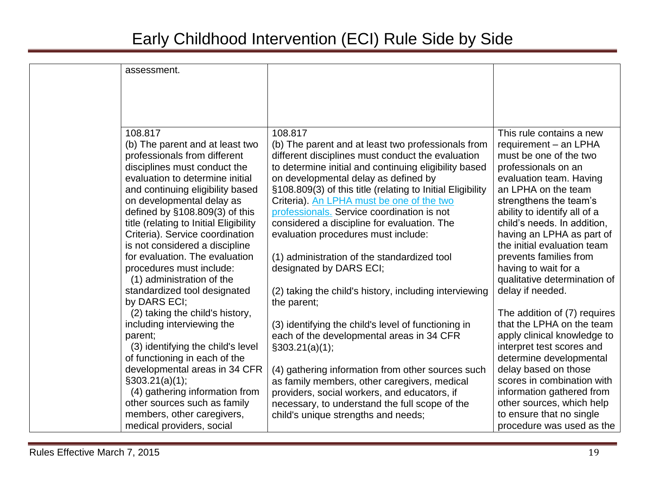| assessment.                                                                                                                                                                                                                                                                                                                                                                                                                                                                                                  |                                                                                                                                                                                                                                                                                                                                                                                                                                                                                                                                                                                                                       |                                                                                                                                                                                                                                                                                                                                                                                                                 |
|--------------------------------------------------------------------------------------------------------------------------------------------------------------------------------------------------------------------------------------------------------------------------------------------------------------------------------------------------------------------------------------------------------------------------------------------------------------------------------------------------------------|-----------------------------------------------------------------------------------------------------------------------------------------------------------------------------------------------------------------------------------------------------------------------------------------------------------------------------------------------------------------------------------------------------------------------------------------------------------------------------------------------------------------------------------------------------------------------------------------------------------------------|-----------------------------------------------------------------------------------------------------------------------------------------------------------------------------------------------------------------------------------------------------------------------------------------------------------------------------------------------------------------------------------------------------------------|
| 108.817<br>(b) The parent and at least two<br>professionals from different<br>disciplines must conduct the<br>evaluation to determine initial<br>and continuing eligibility based<br>on developmental delay as<br>defined by $§108.809(3)$ of this<br>title (relating to Initial Eligibility<br>Criteria). Service coordination<br>is not considered a discipline<br>for evaluation. The evaluation<br>procedures must include:<br>(1) administration of the<br>standardized tool designated<br>by DARS ECI; | 108.817<br>(b) The parent and at least two professionals from<br>different disciplines must conduct the evaluation<br>to determine initial and continuing eligibility based<br>on developmental delay as defined by<br>§108.809(3) of this title (relating to Initial Eligibility<br>Criteria). An LPHA must be one of the two<br>professionals. Service coordination is not<br>considered a discipline for evaluation. The<br>evaluation procedures must include:<br>(1) administration of the standardized tool<br>designated by DARS ECI;<br>(2) taking the child's history, including interviewing<br>the parent; | This rule contains a new<br>requirement - an LPHA<br>must be one of the two<br>professionals on an<br>evaluation team. Having<br>an LPHA on the team<br>strengthens the team's<br>ability to identify all of a<br>child's needs. In addition,<br>having an LPHA as part of<br>the initial evaluation team<br>prevents families from<br>having to wait for a<br>qualitative determination of<br>delay if needed. |
| (2) taking the child's history,<br>including interviewing the<br>parent;<br>(3) identifying the child's level<br>of functioning in each of the<br>developmental areas in 34 CFR<br>$\S303.21(a)(1);$<br>(4) gathering information from<br>other sources such as family<br>members, other caregivers,<br>medical providers, social                                                                                                                                                                            | (3) identifying the child's level of functioning in<br>each of the developmental areas in 34 CFR<br>$\S303.21(a)(1);$<br>(4) gathering information from other sources such<br>as family members, other caregivers, medical<br>providers, social workers, and educators, if<br>necessary, to understand the full scope of the<br>child's unique strengths and needs;                                                                                                                                                                                                                                                   | The addition of (7) requires<br>that the LPHA on the team<br>apply clinical knowledge to<br>interpret test scores and<br>determine developmental<br>delay based on those<br>scores in combination with<br>information gathered from<br>other sources, which help<br>to ensure that no single<br>procedure was used as the                                                                                       |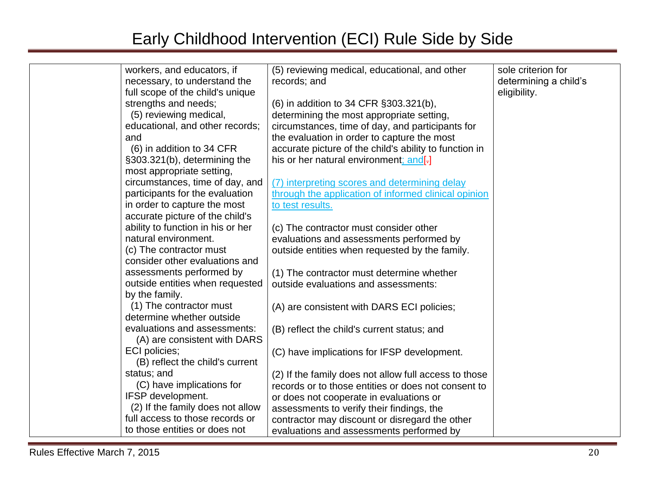| workers, and educators, if        | (5) reviewing medical, educational, and other          | sole criterion for    |
|-----------------------------------|--------------------------------------------------------|-----------------------|
| necessary, to understand the      | records; and                                           | determining a child's |
| full scope of the child's unique  |                                                        | eligibility.          |
| strengths and needs;              | (6) in addition to 34 CFR §303.321(b),                 |                       |
| (5) reviewing medical,            | determining the most appropriate setting,              |                       |
| educational, and other records;   | circumstances, time of day, and participants for       |                       |
| and                               | the evaluation in order to capture the most            |                       |
| (6) in addition to 34 CFR         | accurate picture of the child's ability to function in |                       |
| §303.321(b), determining the      | his or her natural environment; and[-]                 |                       |
| most appropriate setting,         |                                                        |                       |
| circumstances, time of day, and   | (7) interpreting scores and determining delay          |                       |
| participants for the evaluation   | through the application of informed clinical opinion   |                       |
| in order to capture the most      | to test results.                                       |                       |
| accurate picture of the child's   |                                                        |                       |
| ability to function in his or her | (c) The contractor must consider other                 |                       |
| natural environment.              | evaluations and assessments performed by               |                       |
| (c) The contractor must           | outside entities when requested by the family.         |                       |
| consider other evaluations and    |                                                        |                       |
| assessments performed by          | (1) The contractor must determine whether              |                       |
| outside entities when requested   | outside evaluations and assessments:                   |                       |
| by the family.                    |                                                        |                       |
| (1) The contractor must           | (A) are consistent with DARS ECI policies;             |                       |
| determine whether outside         |                                                        |                       |
| evaluations and assessments:      | (B) reflect the child's current status; and            |                       |
| (A) are consistent with DARS      |                                                        |                       |
| ECI policies;                     | (C) have implications for IFSP development.            |                       |
| (B) reflect the child's current   |                                                        |                       |
| status; and                       | (2) If the family does not allow full access to those  |                       |
| (C) have implications for         | records or to those entities or does not consent to    |                       |
| IFSP development.                 | or does not cooperate in evaluations or                |                       |
| (2) If the family does not allow  | assessments to verify their findings, the              |                       |
| full access to those records or   | contractor may discount or disregard the other         |                       |
| to those entities or does not     | evaluations and assessments performed by               |                       |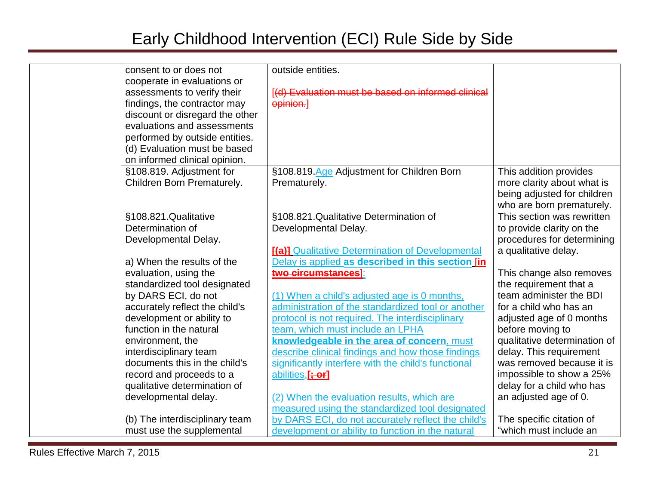| consent to or does not          | outside entities.                                       |                              |
|---------------------------------|---------------------------------------------------------|------------------------------|
| cooperate in evaluations or     |                                                         |                              |
| assessments to verify their     | [(d) Evaluation must be based on informed clinical      |                              |
| findings, the contractor may    | opinion.]                                               |                              |
| discount or disregard the other |                                                         |                              |
| evaluations and assessments     |                                                         |                              |
| performed by outside entities.  |                                                         |                              |
| (d) Evaluation must be based    |                                                         |                              |
| on informed clinical opinion.   |                                                         |                              |
| §108.819. Adjustment for        | §108.819.Age Adjustment for Children Born               | This addition provides       |
| Children Born Prematurely.      | Prematurely.                                            | more clarity about what is   |
|                                 |                                                         | being adjusted for children  |
|                                 |                                                         | who are born prematurely.    |
| §108.821.Qualitative            | §108.821.Qualitative Determination of                   | This section was rewritten   |
| Determination of                | Developmental Delay.                                    | to provide clarity on the    |
| Developmental Delay.            |                                                         | procedures for determining   |
|                                 | <b>[(a)]</b> Qualitative Determination of Developmental | a qualitative delay.         |
| a) When the results of the      | Delay is applied as described in this section [in       |                              |
| evaluation, using the           | two circumstances]:                                     | This change also removes     |
| standardized tool designated    |                                                         | the requirement that a       |
| by DARS ECI, do not             | (1) When a child's adjusted age is 0 months,            | team administer the BDI      |
| accurately reflect the child's  | administration of the standardized tool or another      | for a child who has an       |
| development or ability to       | protocol is not required. The interdisciplinary         | adjusted age of 0 months     |
| function in the natural         | team, which must include an LPHA                        | before moving to             |
| environment, the                | knowledgeable in the area of concern, must              | qualitative determination of |
| interdisciplinary team          | describe clinical findings and how those findings       | delay. This requirement      |
| documents this in the child's   | significantly interfere with the child's functional     | was removed because it is    |
| record and proceeds to a        | abilities.[: or]                                        | impossible to show a 25%     |
| qualitative determination of    |                                                         | delay for a child who has    |
| developmental delay.            | (2) When the evaluation results, which are              | an adjusted age of 0.        |
|                                 | measured using the standardized tool designated         |                              |
| (b) The interdisciplinary team  | by DARS ECI, do not accurately reflect the child's      | The specific citation of     |
| must use the supplemental       | development or ability to function in the natural       | "which must include an       |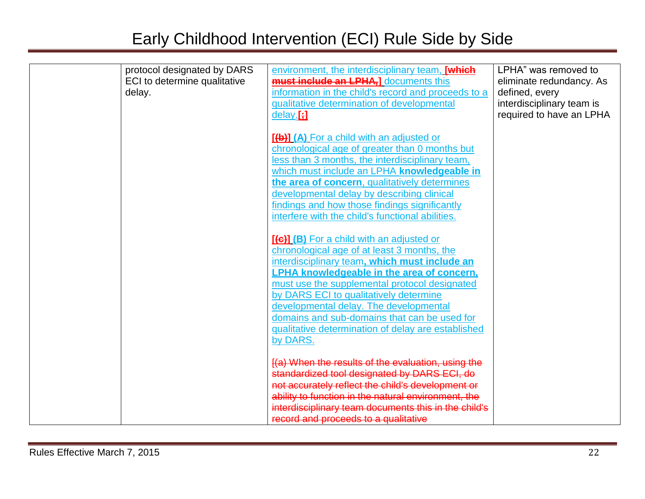| protocol designated by DARS<br>ECI to determine qualitative<br>delay. | environment, the interdisciplinary team, [which<br><b>must include an LPHA,]</b> documents this<br>information in the child's record and proceeds to a<br>qualitative determination of developmental<br>$delay$ :                                                                                              | LPHA" was removed to<br>eliminate redundancy. As<br>defined, every<br>interdisciplinary team is<br>required to have an LPHA |
|-----------------------------------------------------------------------|----------------------------------------------------------------------------------------------------------------------------------------------------------------------------------------------------------------------------------------------------------------------------------------------------------------|-----------------------------------------------------------------------------------------------------------------------------|
|                                                                       | [(b)] (A) For a child with an adjusted or<br>chronological age of greater than 0 months but<br>less than 3 months, the interdisciplinary team,<br>which must include an LPHA knowledgeable in<br>the area of concern, qualitatively determines                                                                 |                                                                                                                             |
|                                                                       | developmental delay by describing clinical<br>findings and how those findings significantly<br>interfere with the child's functional abilities.<br>[(c)] (B) For a child with an adjusted or                                                                                                                   |                                                                                                                             |
|                                                                       | chronological age of at least 3 months, the<br>interdisciplinary team, which must include an<br><b>LPHA knowledgeable in the area of concern.</b><br>must use the supplemental protocol designated<br>by DARS ECI to qualitatively determine                                                                   |                                                                                                                             |
|                                                                       | developmental delay. The developmental<br>domains and sub-domains that can be used for<br>qualitative determination of delay are established<br>by DARS.                                                                                                                                                       |                                                                                                                             |
|                                                                       | [(a) When the results of the evaluation, using the<br>standardized tool designated by DARS ECI, do<br>not accurately reflect the child's development or<br>ability to function in the natural environment, the<br>interdisciplinary team documents this in the child's<br>record and proceeds to a qualitative |                                                                                                                             |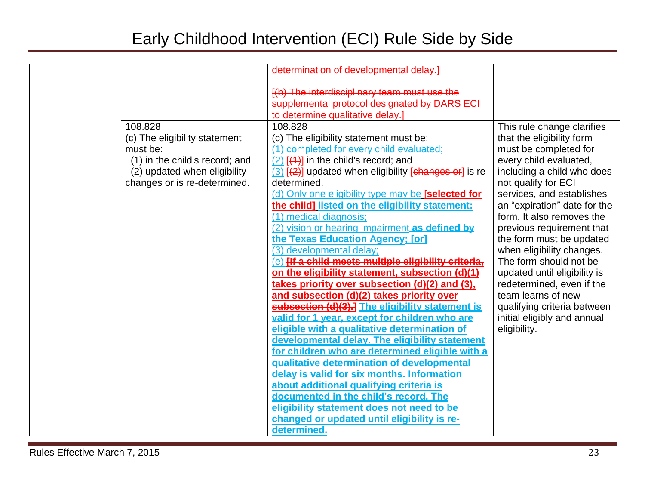|                                | determination of developmental delay.]                                                                                           |                                                           |
|--------------------------------|----------------------------------------------------------------------------------------------------------------------------------|-----------------------------------------------------------|
|                                | [(b) The interdisciplinary team must use the<br>supplemental protocol designated by DARS ECI<br>to determine qualitative delay.] |                                                           |
| 108.828                        | 108.828                                                                                                                          | This rule change clarifies                                |
| (c) The eligibility statement  | (c) The eligibility statement must be:                                                                                           | that the eligibility form                                 |
| must be:                       | (1) completed for every child evaluated;                                                                                         | must be completed for                                     |
| (1) in the child's record; and | $(2)$ $(4)$ in the child's record; and                                                                                           | every child evaluated,                                    |
| (2) updated when eligibility   | $(3)$ $(2)$ updated when eligibility [changes or] is re-                                                                         | including a child who does                                |
| changes or is re-determined.   | determined.                                                                                                                      | not qualify for ECI                                       |
|                                | (d) Only one eligibility type may be [selected for<br>the child] listed on the eligibility statement:                            | services, and establishes<br>an "expiration" date for the |
|                                | (1) medical diagnosis;                                                                                                           | form. It also removes the                                 |
|                                | (2) vision or hearing impairment as defined by                                                                                   | previous requirement that                                 |
|                                | the Texas Education Agency; [or]                                                                                                 | the form must be updated                                  |
|                                | (3) developmental delay;                                                                                                         | when eligibility changes.                                 |
|                                | (e) Ilf a child meets multiple eligibility criteria,                                                                             | The form should not be                                    |
|                                | on the eligibility statement, subsection (d)(1)                                                                                  | updated until eligibility is                              |
|                                | takes priority over subsection (d)(2) and (3),                                                                                   | redetermined, even if the                                 |
|                                | and subsection (d)(2) takes priority over                                                                                        | team learns of new                                        |
|                                | subsection (d)(3).] The eligibility statement is                                                                                 | qualifying criteria between                               |
|                                | valid for 1 year, except for children who are                                                                                    | initial eligibly and annual                               |
|                                | eligible with a qualitative determination of                                                                                     | eligibility.                                              |
|                                | developmental delay. The eligibility statement<br>for children who are determined eligible with a                                |                                                           |
|                                | qualitative determination of developmental                                                                                       |                                                           |
|                                | delay is valid for six months. Information                                                                                       |                                                           |
|                                | about additional qualifying criteria is                                                                                          |                                                           |
|                                | documented in the child's record. The                                                                                            |                                                           |
|                                | eligibility statement does not need to be                                                                                        |                                                           |
|                                | changed or updated until eligibility is re-                                                                                      |                                                           |
|                                | determined.                                                                                                                      |                                                           |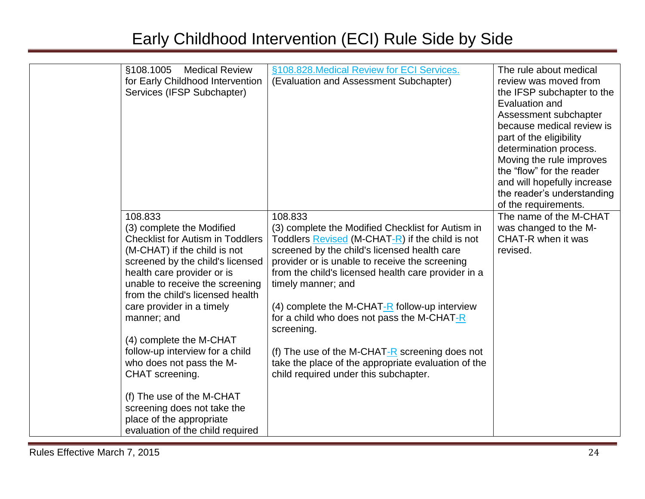| §108.1005<br><b>Medical Review</b>      | §108.828. Medical Review for ECI Services.          | The rule about medical                                |
|-----------------------------------------|-----------------------------------------------------|-------------------------------------------------------|
| for Early Childhood Intervention        | (Evaluation and Assessment Subchapter)              | review was moved from                                 |
| Services (IFSP Subchapter)              |                                                     | the IFSP subchapter to the                            |
|                                         |                                                     | Evaluation and                                        |
|                                         |                                                     | Assessment subchapter                                 |
|                                         |                                                     | because medical review is                             |
|                                         |                                                     | part of the eligibility                               |
|                                         |                                                     |                                                       |
|                                         |                                                     | determination process.                                |
|                                         |                                                     | Moving the rule improves<br>the "flow" for the reader |
|                                         |                                                     | and will hopefully increase                           |
|                                         |                                                     | the reader's understanding                            |
|                                         |                                                     | of the requirements.                                  |
| 108.833                                 | 108.833                                             | The name of the M-CHAT                                |
| (3) complete the Modified               | (3) complete the Modified Checklist for Autism in   | was changed to the M-                                 |
| <b>Checklist for Autism in Toddlers</b> | Toddlers Revised (M-CHAT-R) if the child is not     | CHAT-R when it was                                    |
| (M-CHAT) if the child is not            | screened by the child's licensed health care        | revised.                                              |
| screened by the child's licensed        | provider or is unable to receive the screening      |                                                       |
| health care provider or is              | from the child's licensed health care provider in a |                                                       |
| unable to receive the screening         | timely manner; and                                  |                                                       |
| from the child's licensed health        |                                                     |                                                       |
| care provider in a timely               | (4) complete the M-CHAT- $R$ follow-up interview    |                                                       |
| manner; and                             | for a child who does not pass the M-CHAT-R          |                                                       |
|                                         | screening.                                          |                                                       |
| (4) complete the M-CHAT                 |                                                     |                                                       |
| follow-up interview for a child         | (f) The use of the M-CHAT-R screening does not      |                                                       |
| who does not pass the M-                | take the place of the appropriate evaluation of the |                                                       |
| CHAT screening.                         | child required under this subchapter.               |                                                       |
|                                         |                                                     |                                                       |
| (f) The use of the M-CHAT               |                                                     |                                                       |
| screening does not take the             |                                                     |                                                       |
| place of the appropriate                |                                                     |                                                       |
| evaluation of the child required        |                                                     |                                                       |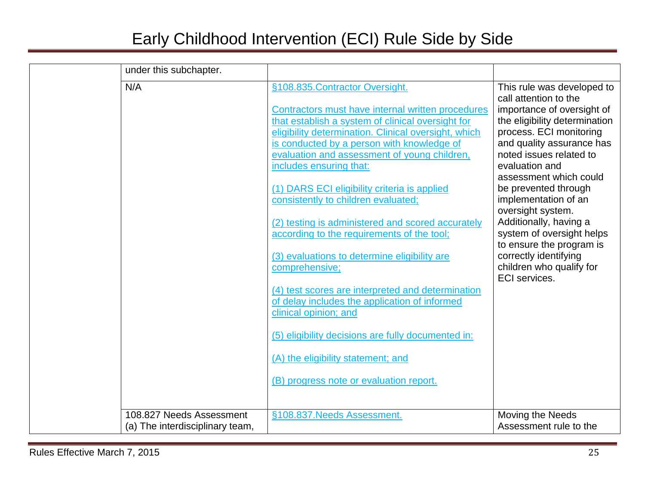| under this subchapter.          |                                                                                                        |                                                             |
|---------------------------------|--------------------------------------------------------------------------------------------------------|-------------------------------------------------------------|
| N/A                             | §108.835. Contractor Oversight.                                                                        | This rule was developed to<br>call attention to the         |
|                                 | Contractors must have internal written procedures<br>that establish a system of clinical oversight for | importance of oversight of<br>the eligibility determination |
|                                 | eligibility determination. Clinical oversight, which                                                   | process. ECI monitoring                                     |
|                                 | is conducted by a person with knowledge of                                                             | and quality assurance has                                   |
|                                 | evaluation and assessment of young children,<br>includes ensuring that:                                | noted issues related to<br>evaluation and                   |
|                                 |                                                                                                        | assessment which could                                      |
|                                 | (1) DARS ECI eligibility criteria is applied                                                           | be prevented through                                        |
|                                 | consistently to children evaluated;                                                                    | implementation of an                                        |
|                                 | (2) testing is administered and scored accurately                                                      | oversight system.<br>Additionally, having a                 |
|                                 | according to the requirements of the tool;                                                             | system of oversight helps                                   |
|                                 | (3) evaluations to determine eligibility are                                                           | to ensure the program is<br>correctly identifying           |
|                                 | comprehensive;                                                                                         | children who qualify for                                    |
|                                 |                                                                                                        | <b>ECI</b> services.                                        |
|                                 | (4) test scores are interpreted and determination                                                      |                                                             |
|                                 | of delay includes the application of informed<br>clinical opinion; and                                 |                                                             |
|                                 |                                                                                                        |                                                             |
|                                 | (5) eligibility decisions are fully documented in:                                                     |                                                             |
|                                 | (A) the eligibility statement; and                                                                     |                                                             |
|                                 | (B) progress note or evaluation report.                                                                |                                                             |
|                                 |                                                                                                        |                                                             |
| 108.827 Needs Assessment        | §108.837. Needs Assessment.                                                                            | Moving the Needs                                            |
| (a) The interdisciplinary team, |                                                                                                        | Assessment rule to the                                      |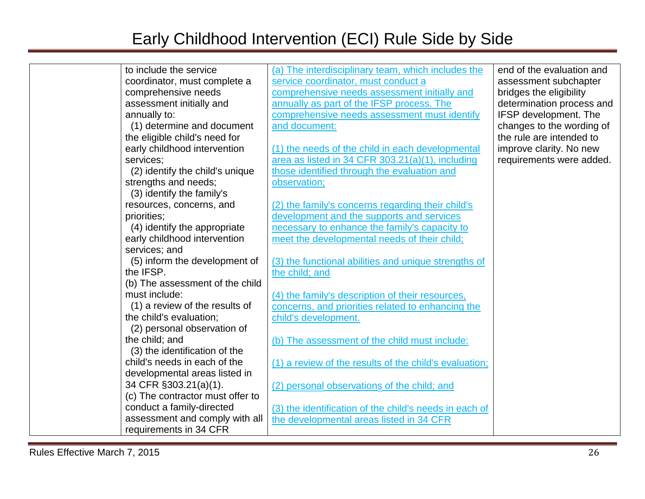| to include the service |                                  | (a) The interdisciplinary team, which includes the     | end of the evaluation and |
|------------------------|----------------------------------|--------------------------------------------------------|---------------------------|
|                        | coordinator, must complete a     | service coordinator, must conduct a                    | assessment subchapter     |
|                        | comprehensive needs              | comprehensive needs assessment initially and           | bridges the eligibility   |
|                        | assessment initially and         | annually as part of the IFSP process. The              | determination process and |
| annually to:           |                                  | comprehensive needs assessment must identify           | IFSP development. The     |
|                        | (1) determine and document       | and document:                                          | changes to the wording of |
|                        | the eligible child's need for    |                                                        | the rule are intended to  |
|                        | early childhood intervention     | (1) the needs of the child in each developmental       | improve clarity. No new   |
| services;              |                                  | area as listed in 34 CFR 303.21(a)(1), including       | requirements were added.  |
|                        | (2) identify the child's unique  | those identified through the evaluation and            |                           |
| strengths and needs;   |                                  | observation;                                           |                           |
|                        | (3) identify the family's        |                                                        |                           |
|                        | resources, concerns, and         | (2) the family's concerns regarding their child's      |                           |
| priorities;            |                                  | development and the supports and services              |                           |
|                        | (4) identify the appropriate     | necessary to enhance the family's capacity to          |                           |
|                        | early childhood intervention     | meet the developmental needs of their child;           |                           |
| services; and          |                                  |                                                        |                           |
|                        | (5) inform the development of    | (3) the functional abilities and unique strengths of   |                           |
| the IFSP.              |                                  | the child; and                                         |                           |
|                        | (b) The assessment of the child  |                                                        |                           |
| must include:          |                                  | (4) the family's description of their resources,       |                           |
|                        | (1) a review of the results of   | concerns, and priorities related to enhancing the      |                           |
|                        | the child's evaluation;          | child's development.                                   |                           |
|                        | (2) personal observation of      |                                                        |                           |
| the child; and         |                                  | (b) The assessment of the child must include:          |                           |
|                        | (3) the identification of the    |                                                        |                           |
|                        | child's needs in each of the     | (1) a review of the results of the child's evaluation; |                           |
|                        | developmental areas listed in    |                                                        |                           |
|                        | 34 CFR §303.21(a)(1).            | (2) personal observations of the child; and            |                           |
|                        | (c) The contractor must offer to |                                                        |                           |
|                        | conduct a family-directed        | (3) the identification of the child's needs in each of |                           |
|                        | assessment and comply with all   | the developmental areas listed in 34 CFR               |                           |
|                        | requirements in 34 CFR           |                                                        |                           |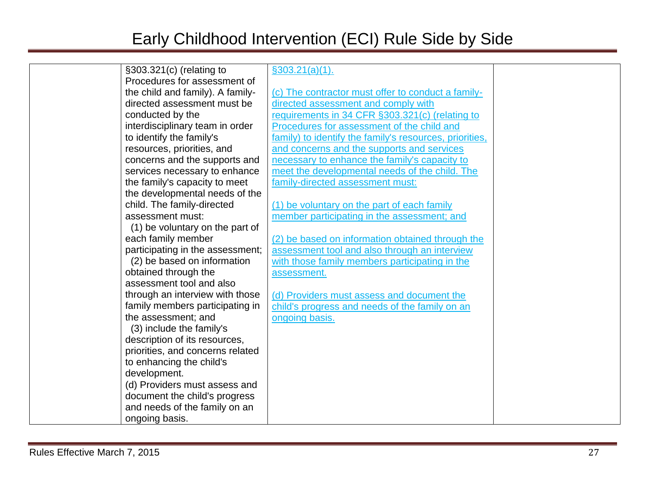| §303.321(c) (relating to         | \$303.21(a)(1).                                         |  |
|----------------------------------|---------------------------------------------------------|--|
| Procedures for assessment of     |                                                         |  |
| the child and family). A family- | (c) The contractor must offer to conduct a family-      |  |
| directed assessment must be      | directed assessment and comply with                     |  |
| conducted by the                 | requirements in 34 CFR §303.321(c) (relating to         |  |
| interdisciplinary team in order  | Procedures for assessment of the child and              |  |
| to identify the family's         | family) to identify the family's resources, priorities, |  |
| resources, priorities, and       | and concerns and the supports and services              |  |
| concerns and the supports and    | necessary to enhance the family's capacity to           |  |
| services necessary to enhance    | meet the developmental needs of the child. The          |  |
| the family's capacity to meet    | family-directed assessment must:                        |  |
| the developmental needs of the   |                                                         |  |
| child. The family-directed       | (1) be voluntary on the part of each family             |  |
| assessment must:                 | member participating in the assessment; and             |  |
| (1) be voluntary on the part of  |                                                         |  |
| each family member               | (2) be based on information obtained through the        |  |
| participating in the assessment; | assessment tool and also through an interview           |  |
| (2) be based on information      | with those family members participating in the          |  |
| obtained through the             | assessment.                                             |  |
| assessment tool and also         |                                                         |  |
| through an interview with those  | (d) Providers must assess and document the              |  |
| family members participating in  | child's progress and needs of the family on an          |  |
| the assessment; and              | ongoing basis.                                          |  |
| (3) include the family's         |                                                         |  |
| description of its resources,    |                                                         |  |
| priorities, and concerns related |                                                         |  |
| to enhancing the child's         |                                                         |  |
| development.                     |                                                         |  |
| (d) Providers must assess and    |                                                         |  |
| document the child's progress    |                                                         |  |
| and needs of the family on an    |                                                         |  |
| ongoing basis.                   |                                                         |  |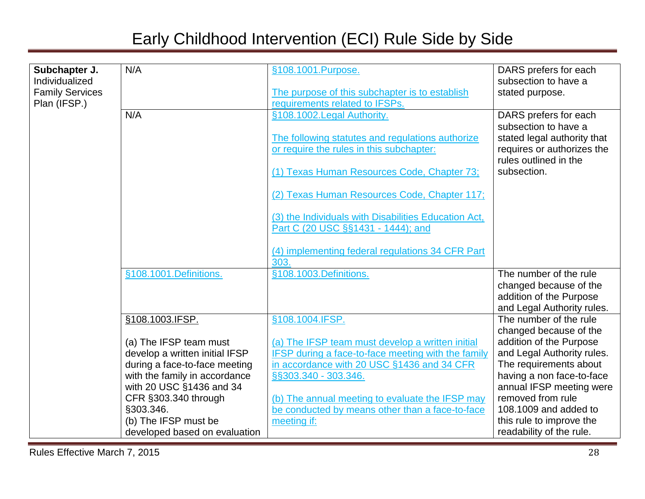| Subchapter J.          | N/A                                                      | §108.1001.Purpose.                                                                                     | DARS prefers for each                             |
|------------------------|----------------------------------------------------------|--------------------------------------------------------------------------------------------------------|---------------------------------------------------|
| Individualized         |                                                          |                                                                                                        | subsection to have a                              |
| <b>Family Services</b> |                                                          | The purpose of this subchapter is to establish                                                         | stated purpose.                                   |
| Plan (IFSP.)           |                                                          | requirements related to IFSPs.                                                                         |                                                   |
|                        | N/A                                                      | §108.1002.Legal Authority.                                                                             | DARS prefers for each                             |
|                        |                                                          |                                                                                                        | subsection to have a                              |
|                        |                                                          | The following statutes and regulations authorize                                                       | stated legal authority that                       |
|                        |                                                          | or require the rules in this subchapter:                                                               | requires or authorizes the                        |
|                        |                                                          |                                                                                                        | rules outlined in the                             |
|                        |                                                          | (1) Texas Human Resources Code, Chapter 73;                                                            | subsection.                                       |
|                        |                                                          | (2) Texas Human Resources Code, Chapter 117;                                                           |                                                   |
|                        |                                                          |                                                                                                        |                                                   |
|                        |                                                          | (3) the Individuals with Disabilities Education Act,                                                   |                                                   |
|                        |                                                          | Part C (20 USC §§1431 - 1444); and                                                                     |                                                   |
|                        |                                                          |                                                                                                        |                                                   |
|                        |                                                          | (4) implementing federal regulations 34 CFR Part                                                       |                                                   |
|                        |                                                          | 303.                                                                                                   |                                                   |
|                        | §108.1001.Definitions.                                   | §108.1003.Definitions.                                                                                 | The number of the rule                            |
|                        |                                                          |                                                                                                        | changed because of the                            |
|                        |                                                          |                                                                                                        | addition of the Purpose                           |
|                        |                                                          |                                                                                                        | and Legal Authority rules.                        |
|                        | §108.1003.IFSP.                                          | §108.1004.IFSP.                                                                                        | The number of the rule                            |
|                        |                                                          |                                                                                                        | changed because of the<br>addition of the Purpose |
|                        | (a) The IFSP team must<br>develop a written initial IFSP | (a) The IFSP team must develop a written initial<br>IFSP during a face-to-face meeting with the family | and Legal Authority rules.                        |
|                        | during a face-to-face meeting                            | in accordance with 20 USC §1436 and 34 CFR                                                             | The requirements about                            |
|                        | with the family in accordance                            | §§303.340 - 303.346.                                                                                   | having a non face-to-face                         |
|                        | with 20 USC §1436 and 34                                 |                                                                                                        | annual IFSP meeting were                          |
|                        | CFR §303.340 through                                     | (b) The annual meeting to evaluate the IFSP may                                                        | removed from rule                                 |
|                        | §303.346.                                                | be conducted by means other than a face-to-face                                                        | 108.1009 and added to                             |
|                        | (b) The IFSP must be                                     | meeting if:                                                                                            | this rule to improve the                          |
|                        | developed based on evaluation                            |                                                                                                        | readability of the rule.                          |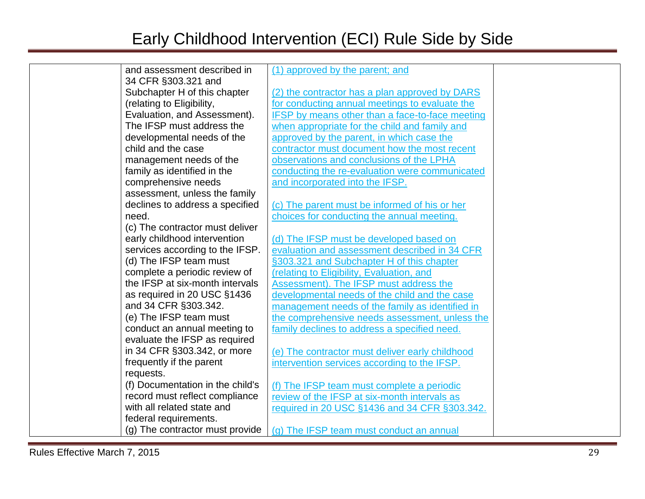| and assessment described in      | (1) approved by the parent; and                        |  |
|----------------------------------|--------------------------------------------------------|--|
| 34 CFR §303.321 and              |                                                        |  |
| Subchapter H of this chapter     | (2) the contractor has a plan approved by DARS         |  |
| (relating to Eligibility,        | for conducting annual meetings to evaluate the         |  |
| Evaluation, and Assessment).     | <b>IFSP</b> by means other than a face-to-face meeting |  |
| The IFSP must address the        | when appropriate for the child and family and          |  |
| developmental needs of the       | approved by the parent, in which case the              |  |
| child and the case               | contractor must document how the most recent           |  |
| management needs of the          | observations and conclusions of the LPHA               |  |
| family as identified in the      | conducting the re-evaluation were communicated         |  |
| comprehensive needs              | and incorporated into the IFSP.                        |  |
| assessment, unless the family    |                                                        |  |
| declines to address a specified  | (c) The parent must be informed of his or her          |  |
| need.                            | choices for conducting the annual meeting.             |  |
| (c) The contractor must deliver  |                                                        |  |
| early childhood intervention     | (d) The IFSP must be developed based on                |  |
| services according to the IFSP.  | evaluation and assessment described in 34 CFR          |  |
| (d) The IFSP team must           | §303.321 and Subchapter H of this chapter              |  |
| complete a periodic review of    | (relating to Eligibility, Evaluation, and              |  |
| the IFSP at six-month intervals  | Assessment). The IFSP must address the                 |  |
| as required in 20 USC §1436      | developmental needs of the child and the case          |  |
| and 34 CFR §303.342.             | management needs of the family as identified in        |  |
| (e) The IFSP team must           | the comprehensive needs assessment, unless the         |  |
| conduct an annual meeting to     | family declines to address a specified need.           |  |
| evaluate the IFSP as required    |                                                        |  |
| in 34 CFR §303.342, or more      | (e) The contractor must deliver early childhood        |  |
| frequently if the parent         | intervention services according to the IFSP.           |  |
| requests.                        |                                                        |  |
| (f) Documentation in the child's | (f) The IFSP team must complete a periodic             |  |
| record must reflect compliance   | review of the IFSP at six-month intervals as           |  |
| with all related state and       | required in 20 USC §1436 and 34 CFR §303.342.          |  |
| federal requirements.            |                                                        |  |
| (g) The contractor must provide  | (g) The IFSP team must conduct an annual               |  |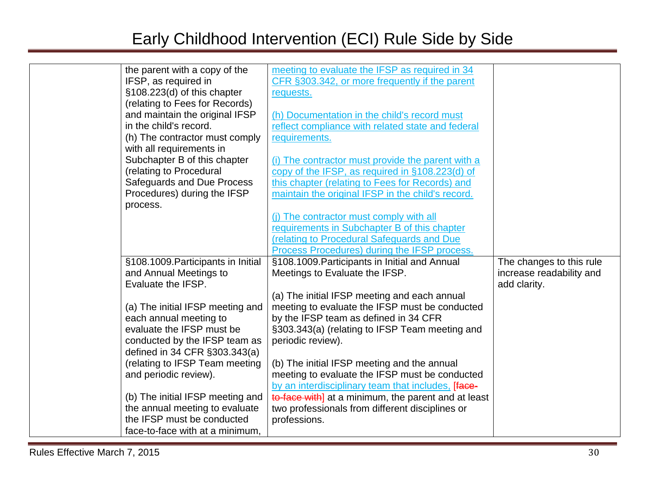| the parent with a copy of the      | meeting to evaluate the IFSP as required in 34      |                          |
|------------------------------------|-----------------------------------------------------|--------------------------|
| IFSP, as required in               | CFR §303.342, or more frequently if the parent      |                          |
| §108.223(d) of this chapter        | requests.                                           |                          |
| (relating to Fees for Records)     |                                                     |                          |
| and maintain the original IFSP     | (h) Documentation in the child's record must        |                          |
| in the child's record.             | reflect compliance with related state and federal   |                          |
| (h) The contractor must comply     | requirements.                                       |                          |
| with all requirements in           |                                                     |                          |
| Subchapter B of this chapter       | (i) The contractor must provide the parent with a   |                          |
| (relating to Procedural            | copy of the IFSP, as required in §108.223(d) of     |                          |
| Safeguards and Due Process         | this chapter (relating to Fees for Records) and     |                          |
| Procedures) during the IFSP        | maintain the original IFSP in the child's record.   |                          |
| process.                           |                                                     |                          |
|                                    | (i) The contractor must comply with all             |                          |
|                                    | requirements in Subchapter B of this chapter        |                          |
|                                    | (relating to Procedural Safeguards and Due          |                          |
|                                    | Process Procedures) during the IFSP process.        |                          |
| §108.1009. Participants in Initial | §108.1009. Participants in Initial and Annual       | The changes to this rule |
| and Annual Meetings to             | Meetings to Evaluate the IFSP.                      | increase readability and |
| Evaluate the IFSP.                 |                                                     | add clarity.             |
|                                    | (a) The initial IFSP meeting and each annual        |                          |
| (a) The initial IFSP meeting and   | meeting to evaluate the IFSP must be conducted      |                          |
| each annual meeting to             | by the IFSP team as defined in 34 CFR               |                          |
| evaluate the IFSP must be          | §303.343(a) (relating to IFSP Team meeting and      |                          |
| conducted by the IFSP team as      | periodic review).                                   |                          |
| defined in 34 CFR §303.343(a)      |                                                     |                          |
| (relating to IFSP Team meeting     | (b) The initial IFSP meeting and the annual         |                          |
| and periodic review).              | meeting to evaluate the IFSP must be conducted      |                          |
|                                    | by an interdisciplinary team that includes, [face-  |                          |
| (b) The initial IFSP meeting and   | to-face with] at a minimum, the parent and at least |                          |
| the annual meeting to evaluate     | two professionals from different disciplines or     |                          |
| the IFSP must be conducted         | professions.                                        |                          |
| face-to-face with at a minimum,    |                                                     |                          |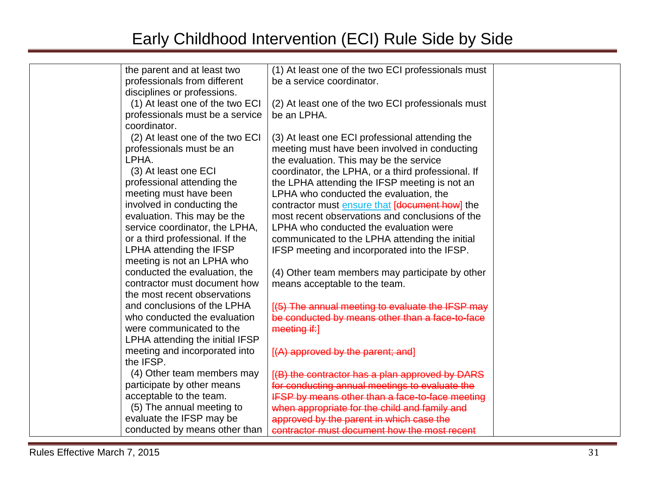| the parent and at least two     | (1) At least one of the two ECI professionals must |  |
|---------------------------------|----------------------------------------------------|--|
| professionals from different    | be a service coordinator.                          |  |
| disciplines or professions.     |                                                    |  |
| (1) At least one of the two ECI | (2) At least one of the two ECI professionals must |  |
| professionals must be a service | be an LPHA.                                        |  |
| coordinator.                    |                                                    |  |
| (2) At least one of the two ECI | (3) At least one ECI professional attending the    |  |
| professionals must be an        | meeting must have been involved in conducting      |  |
| LPHA.                           | the evaluation. This may be the service            |  |
| (3) At least one ECI            | coordinator, the LPHA, or a third professional. If |  |
| professional attending the      | the LPHA attending the IFSP meeting is not an      |  |
| meeting must have been          | LPHA who conducted the evaluation, the             |  |
| involved in conducting the      | contractor must ensure that [document how] the     |  |
| evaluation. This may be the     | most recent observations and conclusions of the    |  |
| service coordinator, the LPHA,  | LPHA who conducted the evaluation were             |  |
| or a third professional. If the | communicated to the LPHA attending the initial     |  |
| LPHA attending the IFSP         | IFSP meeting and incorporated into the IFSP.       |  |
| meeting is not an LPHA who      |                                                    |  |
| conducted the evaluation, the   | (4) Other team members may participate by other    |  |
| contractor must document how    | means acceptable to the team.                      |  |
| the most recent observations    |                                                    |  |
| and conclusions of the LPHA     | [(5) The annual meeting to evaluate the IFSP may   |  |
| who conducted the evaluation    | be conducted by means other than a face-to-face    |  |
| were communicated to the        | meeting if:]                                       |  |
| LPHA attending the initial IFSP |                                                    |  |
| meeting and incorporated into   | [(A) approved by the parent; and]                  |  |
| the IFSP.                       |                                                    |  |
| (4) Other team members may      | [(B) the contractor has a plan approved by DARS    |  |
| participate by other means      | for conducting annual meetings to evaluate the     |  |
| acceptable to the team.         | IFSP by means other than a face-to-face meeting    |  |
| (5) The annual meeting to       | when appropriate for the child and family and      |  |
| evaluate the IFSP may be        | approved by the parent in which case the           |  |
| conducted by means other than   | contractor must document how the most recent       |  |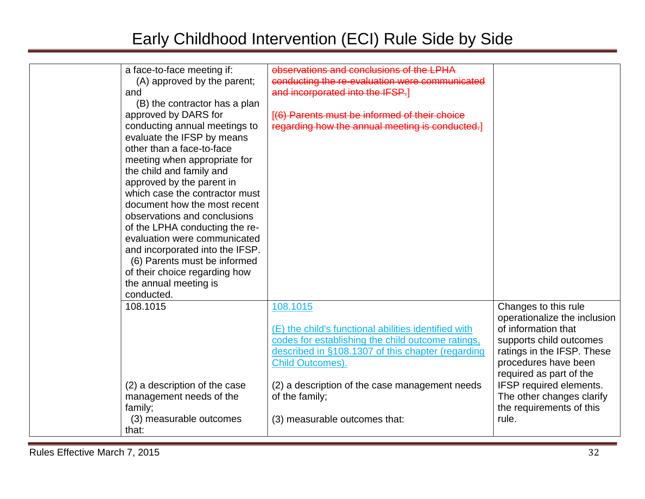| a face-to-face meeting if:<br>(A) approved by the parent;<br>and<br>(B) the contractor has a plan<br>approved by DARS for<br>conducting annual meetings to<br>evaluate the IFSP by means<br>other than a face-to-face<br>meeting when appropriate for<br>the child and family and<br>approved by the parent in<br>which case the contractor must<br>document how the most recent<br>observations and conclusions<br>of the LPHA conducting the re-<br>evaluation were communicated<br>and incorporated into the IFSP.<br>(6) Parents must be informed<br>of their choice regarding how<br>the annual meeting is<br>conducted. | observations and conclusions of the LPHA<br>conducting the re-evaluation were communicated<br>and incorporated into the IFSP.]<br>[(6) Parents must be informed of their choice<br>regarding how the annual meeting is conducted.] |                                                                                                                                                              |
|-------------------------------------------------------------------------------------------------------------------------------------------------------------------------------------------------------------------------------------------------------------------------------------------------------------------------------------------------------------------------------------------------------------------------------------------------------------------------------------------------------------------------------------------------------------------------------------------------------------------------------|------------------------------------------------------------------------------------------------------------------------------------------------------------------------------------------------------------------------------------|--------------------------------------------------------------------------------------------------------------------------------------------------------------|
| 108.1015                                                                                                                                                                                                                                                                                                                                                                                                                                                                                                                                                                                                                      | 108.1015<br>(E) the child's functional abilities identified with<br>codes for establishing the child outcome ratings,<br>described in §108.1307 of this chapter (regarding<br><b>Child Outcomes).</b>                              | Changes to this rule<br>operationalize the inclusion<br>of information that<br>supports child outcomes<br>ratings in the IFSP. These<br>procedures have been |
| (2) a description of the case<br>management needs of the<br>family;<br>(3) measurable outcomes                                                                                                                                                                                                                                                                                                                                                                                                                                                                                                                                | (2) a description of the case management needs<br>of the family;<br>(3) measurable outcomes that:                                                                                                                                  | required as part of the<br>IFSP required elements.<br>The other changes clarify<br>the requirements of this<br>rule.                                         |
| that:                                                                                                                                                                                                                                                                                                                                                                                                                                                                                                                                                                                                                         |                                                                                                                                                                                                                                    |                                                                                                                                                              |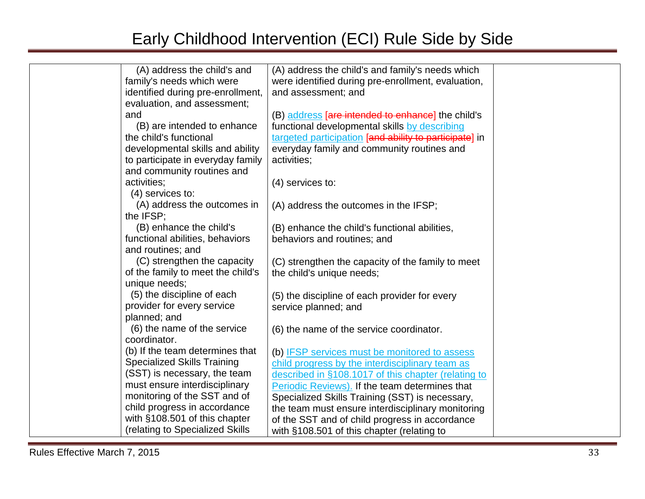| (A) address the child's and        | (A) address the child's and family's needs which         |                                                                                                                                             |
|------------------------------------|----------------------------------------------------------|---------------------------------------------------------------------------------------------------------------------------------------------|
| family's needs which were          | were identified during pre-enrollment, evaluation,       |                                                                                                                                             |
| identified during pre-enrollment,  | and assessment; and                                      |                                                                                                                                             |
| evaluation, and assessment;        |                                                          |                                                                                                                                             |
|                                    | (B) address <b>[are intended to enhance]</b> the child's |                                                                                                                                             |
| (B) are intended to enhance        | functional developmental skills by describing            |                                                                                                                                             |
| the child's functional             | targeted participation [and ability to participate] in   |                                                                                                                                             |
| developmental skills and ability   | everyday family and community routines and               |                                                                                                                                             |
| to participate in everyday family  | activities;                                              |                                                                                                                                             |
| and community routines and         |                                                          |                                                                                                                                             |
| activities;                        | $(4)$ services to:                                       |                                                                                                                                             |
| $(4)$ services to:                 |                                                          |                                                                                                                                             |
| (A) address the outcomes in        | (A) address the outcomes in the IFSP;                    |                                                                                                                                             |
| the IFSP;                          |                                                          |                                                                                                                                             |
| (B) enhance the child's            | (B) enhance the child's functional abilities,            |                                                                                                                                             |
| functional abilities, behaviors    | behaviors and routines; and                              |                                                                                                                                             |
| and routines; and                  |                                                          |                                                                                                                                             |
| (C) strengthen the capacity        | (C) strengthen the capacity of the family to meet        |                                                                                                                                             |
| of the family to meet the child's  | the child's unique needs;                                |                                                                                                                                             |
| unique needs;                      |                                                          |                                                                                                                                             |
| (5) the discipline of each         | (5) the discipline of each provider for every            |                                                                                                                                             |
| provider for every service         | service planned; and                                     |                                                                                                                                             |
| planned; and                       |                                                          |                                                                                                                                             |
| (6) the name of the service        |                                                          |                                                                                                                                             |
| coordinator.                       |                                                          |                                                                                                                                             |
| (b) If the team determines that    |                                                          |                                                                                                                                             |
| <b>Specialized Skills Training</b> | child progress by the interdisciplinary team as          |                                                                                                                                             |
| (SST) is necessary, the team       | described in §108.1017 of this chapter (relating to      |                                                                                                                                             |
| must ensure interdisciplinary      | Periodic Reviews). If the team determines that           |                                                                                                                                             |
| monitoring of the SST and of       | Specialized Skills Training (SST) is necessary,          |                                                                                                                                             |
| child progress in accordance       | the team must ensure interdisciplinary monitoring        |                                                                                                                                             |
| with §108.501 of this chapter      |                                                          |                                                                                                                                             |
| (relating to Specialized Skills    | with §108.501 of this chapter (relating to               |                                                                                                                                             |
|                                    |                                                          | (6) the name of the service coordinator.<br>(b) IFSP services must be monitored to assess<br>of the SST and of child progress in accordance |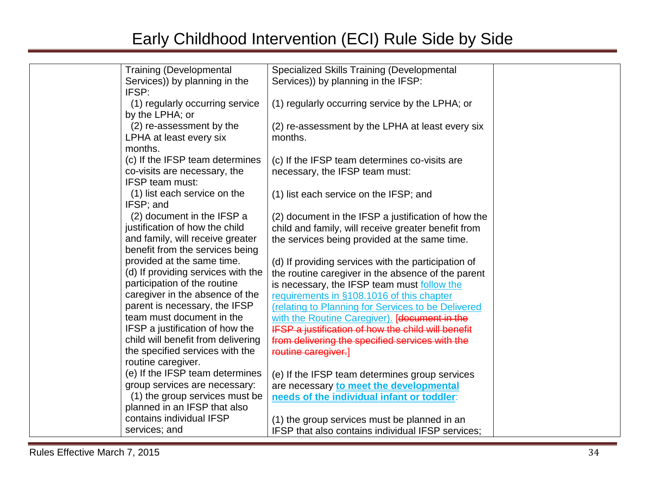| <b>Training (Developmental</b>     | Specialized Skills Training (Developmental                |
|------------------------------------|-----------------------------------------------------------|
| Services)) by planning in the      | Services)) by planning in the IFSP:                       |
| IFSP:                              |                                                           |
| (1) regularly occurring service    | (1) regularly occurring service by the LPHA; or           |
| by the LPHA; or                    |                                                           |
| (2) re-assessment by the           | (2) re-assessment by the LPHA at least every six          |
| LPHA at least every six            | months.                                                   |
| months.                            |                                                           |
| (c) If the IFSP team determines    | (c) If the IFSP team determines co-visits are             |
| co-visits are necessary, the       | necessary, the IFSP team must:                            |
| <b>IFSP team must:</b>             |                                                           |
| (1) list each service on the       | (1) list each service on the IFSP; and                    |
| IFSP; and                          |                                                           |
| (2) document in the IFSP a         | (2) document in the IFSP a justification of how the       |
| justification of how the child     | child and family, will receive greater benefit from       |
| and family, will receive greater   | the services being provided at the same time.             |
| benefit from the services being    |                                                           |
| provided at the same time.         | (d) If providing services with the participation of       |
| (d) If providing services with the | the routine caregiver in the absence of the parent        |
| participation of the routine       | is necessary, the IFSP team must follow the               |
| caregiver in the absence of the    | requirements in §108.1016 of this chapter                 |
| parent is necessary, the IFSP      | (relating to Planning for Services to be Delivered        |
| team must document in the          | with the Routine Caregiver). [document in the             |
| IFSP a justification of how the    | <b>IFSP a justification of how the child will benefit</b> |
| child will benefit from delivering | from delivering the specified services with the           |
| the specified services with the    | routine caregiver.]                                       |
| routine caregiver.                 |                                                           |
| (e) If the IFSP team determines    | (e) If the IFSP team determines group services            |
| group services are necessary:      | are necessary to meet the developmental                   |
| (1) the group services must be     | needs of the individual infant or toddler:                |
| planned in an IFSP that also       |                                                           |
| contains individual IFSP           | (1) the group services must be planned in an              |
| services; and                      | IFSP that also contains individual IFSP services;         |
|                                    |                                                           |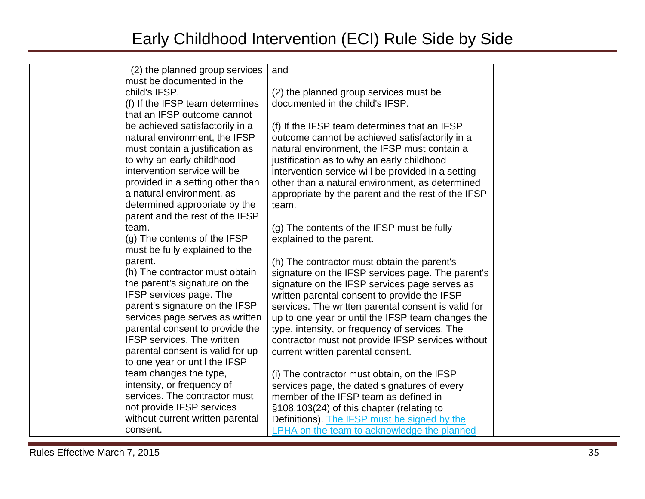| (2) the planned group services                              | and                                                 |  |
|-------------------------------------------------------------|-----------------------------------------------------|--|
| must be documented in the                                   |                                                     |  |
| child's IFSP.                                               | (2) the planned group services must be              |  |
| (f) If the IFSP team determines                             | documented in the child's IFSP.                     |  |
| that an IFSP outcome cannot                                 |                                                     |  |
| be achieved satisfactorily in a                             | (f) If the IFSP team determines that an IFSP        |  |
| natural environment, the IFSP                               | outcome cannot be achieved satisfactorily in a      |  |
| must contain a justification as                             | natural environment, the IFSP must contain a        |  |
| to why an early childhood                                   | justification as to why an early childhood          |  |
| intervention service will be                                | intervention service will be provided in a setting  |  |
| provided in a setting other than                            | other than a natural environment, as determined     |  |
| a natural environment, as                                   | appropriate by the parent and the rest of the IFSP  |  |
| determined appropriate by the                               | team.                                               |  |
| parent and the rest of the IFSP                             |                                                     |  |
| team.                                                       | (g) The contents of the IFSP must be fully          |  |
| (g) The contents of the IFSP                                | explained to the parent.                            |  |
| must be fully explained to the                              |                                                     |  |
| parent.                                                     | (h) The contractor must obtain the parent's         |  |
| (h) The contractor must obtain                              | signature on the IFSP services page. The parent's   |  |
| the parent's signature on the                               | signature on the IFSP services page serves as       |  |
| <b>IFSP</b> services page. The                              | written parental consent to provide the IFSP        |  |
| parent's signature on the IFSP                              | services. The written parental consent is valid for |  |
| services page serves as written                             | up to one year or until the IFSP team changes the   |  |
| parental consent to provide the                             | type, intensity, or frequency of services. The      |  |
| <b>IFSP</b> services. The written                           | contractor must not provide IFSP services without   |  |
| parental consent is valid for up                            | current written parental consent.                   |  |
| to one year or until the IFSP                               |                                                     |  |
| team changes the type,                                      | (i) The contractor must obtain, on the IFSP         |  |
| intensity, or frequency of<br>services. The contractor must | services page, the dated signatures of every        |  |
| not provide IFSP services                                   | member of the IFSP team as defined in               |  |
| without current written parental                            | §108.103(24) of this chapter (relating to           |  |
| consent.                                                    | Definitions). The IFSP must be signed by the        |  |
|                                                             | LPHA on the team to acknowledge the planned         |  |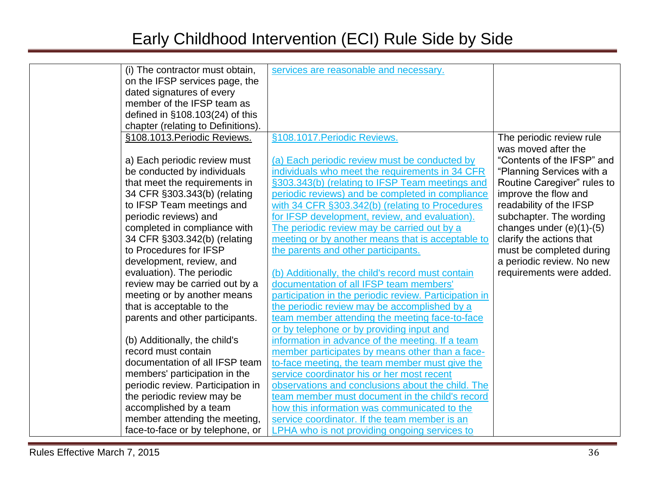| (i) The contractor must obtain,    | services are reasonable and necessary.                 |                             |
|------------------------------------|--------------------------------------------------------|-----------------------------|
| on the IFSP services page, the     |                                                        |                             |
| dated signatures of every          |                                                        |                             |
| member of the IFSP team as         |                                                        |                             |
| defined in §108.103(24) of this    |                                                        |                             |
| chapter (relating to Definitions). |                                                        |                             |
| §108.1013. Periodic Reviews.       | §108.1017. Periodic Reviews.                           | The periodic review rule    |
|                                    |                                                        | was moved after the         |
| a) Each periodic review must       | (a) Each periodic review must be conducted by          | "Contents of the IFSP" and  |
| be conducted by individuals        | individuals who meet the requirements in 34 CFR        | "Planning Services with a   |
| that meet the requirements in      | §303.343(b) (relating to IFSP Team meetings and        | Routine Caregiver" rules to |
| 34 CFR §303.343(b) (relating       | periodic reviews) and be completed in compliance       | improve the flow and        |
| to IFSP Team meetings and          | with 34 CFR §303.342(b) (relating to Procedures        | readability of the IFSP     |
| periodic reviews) and              | for IFSP development, review, and evaluation).         | subchapter. The wording     |
| completed in compliance with       | The periodic review may be carried out by a            | changes under $(e)(1)-(5)$  |
| 34 CFR §303.342(b) (relating       | meeting or by another means that is acceptable to      | clarify the actions that    |
| to Procedures for IFSP             | the parents and other participants.                    | must be completed during    |
| development, review, and           |                                                        | a periodic review. No new   |
| evaluation). The periodic          | (b) Additionally, the child's record must contain      | requirements were added.    |
| review may be carried out by a     | documentation of all IFSP team members'                |                             |
| meeting or by another means        | participation in the periodic review. Participation in |                             |
| that is acceptable to the          | the periodic review may be accomplished by a           |                             |
| parents and other participants.    | team member attending the meeting face-to-face         |                             |
|                                    | or by telephone or by providing input and              |                             |
| (b) Additionally, the child's      | information in advance of the meeting. If a team       |                             |
| record must contain                | member participates by means other than a face-        |                             |
| documentation of all IFSP team     | to-face meeting, the team member must give the         |                             |
| members' participation in the      | service coordinator his or her most recent             |                             |
| periodic review. Participation in  | observations and conclusions about the child. The      |                             |
| the periodic review may be         | team member must document in the child's record        |                             |
| accomplished by a team             | how this information was communicated to the           |                             |
| member attending the meeting,      | service coordinator. If the team member is an          |                             |
| face-to-face or by telephone, or   | LPHA who is not providing ongoing services to          |                             |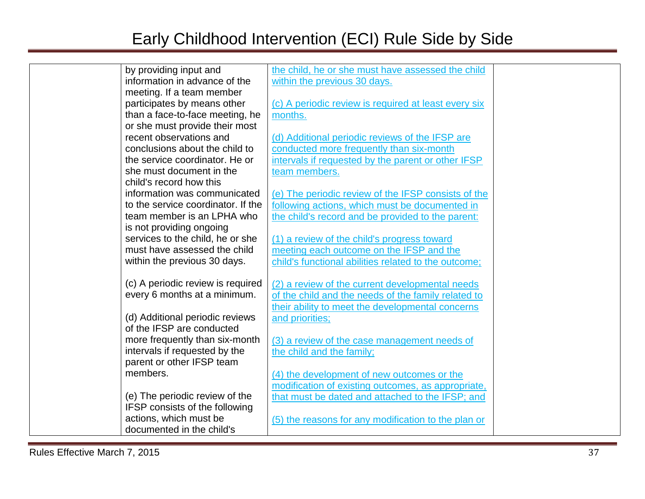| by providing input and             | the child, he or she must have assessed the child    |  |
|------------------------------------|------------------------------------------------------|--|
| information in advance of the      | within the previous 30 days.                         |  |
| meeting. If a team member          |                                                      |  |
| participates by means other        | (c) A periodic review is required at least every six |  |
| than a face-to-face meeting, he    | months.                                              |  |
| or she must provide their most     |                                                      |  |
| recent observations and            | (d) Additional periodic reviews of the IFSP are      |  |
| conclusions about the child to     | conducted more frequently than six-month             |  |
| the service coordinator. He or     | intervals if requested by the parent or other IFSP   |  |
| she must document in the           | team members.                                        |  |
| child's record how this            |                                                      |  |
| information was communicated       | (e) The periodic review of the IFSP consists of the  |  |
| to the service coordinator. If the | following actions, which must be documented in       |  |
| team member is an LPHA who         | the child's record and be provided to the parent:    |  |
| is not providing ongoing           |                                                      |  |
| services to the child, he or she   | (1) a review of the child's progress toward          |  |
| must have assessed the child       | meeting each outcome on the IFSP and the             |  |
| within the previous 30 days.       | child's functional abilities related to the outcome; |  |
|                                    |                                                      |  |
| (c) A periodic review is required  | (2) a review of the current developmental needs      |  |
| every 6 months at a minimum.       | of the child and the needs of the family related to  |  |
|                                    | their ability to meet the developmental concerns     |  |
| (d) Additional periodic reviews    | and priorities;                                      |  |
| of the IFSP are conducted          |                                                      |  |
| more frequently than six-month     | (3) a review of the case management needs of         |  |
| intervals if requested by the      | the child and the family;                            |  |
| parent or other IFSP team          |                                                      |  |
| members.                           | (4) the development of new outcomes or the           |  |
|                                    | modification of existing outcomes, as appropriate,   |  |
| (e) The periodic review of the     | that must be dated and attached to the IFSP; and     |  |
| IFSP consists of the following     |                                                      |  |
| actions, which must be             | (5) the reasons for any modification to the plan or  |  |
| documented in the child's          |                                                      |  |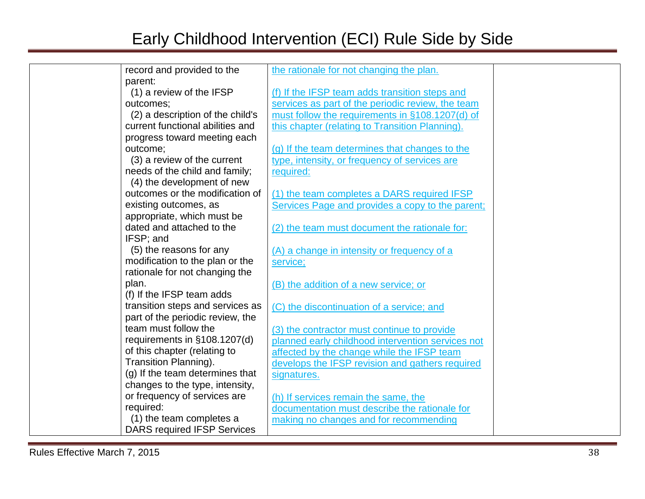| record and provided to the         | the rationale for not changing the plan.          |  |
|------------------------------------|---------------------------------------------------|--|
| parent:                            |                                                   |  |
| (1) a review of the IFSP           | (f) If the IFSP team adds transition steps and    |  |
| outcomes;                          | services as part of the periodic review, the team |  |
| (2) a description of the child's   | must follow the requirements in §108.1207(d) of   |  |
| current functional abilities and   | this chapter (relating to Transition Planning).   |  |
| progress toward meeting each       |                                                   |  |
| outcome;                           | (g) If the team determines that changes to the    |  |
| (3) a review of the current        | type, intensity, or frequency of services are     |  |
| needs of the child and family;     | required:                                         |  |
| (4) the development of new         |                                                   |  |
| outcomes or the modification of    | (1) the team completes a DARS required IFSP       |  |
| existing outcomes, as              | Services Page and provides a copy to the parent;  |  |
| appropriate, which must be         |                                                   |  |
| dated and attached to the          | (2) the team must document the rationale for:     |  |
| IFSP; and                          |                                                   |  |
| (5) the reasons for any            | (A) a change in intensity or frequency of a       |  |
| modification to the plan or the    | service;                                          |  |
| rationale for not changing the     |                                                   |  |
| plan.                              | (B) the addition of a new service; or             |  |
| (f) If the IFSP team adds          |                                                   |  |
| transition steps and services as   | (C) the discontinuation of a service; and         |  |
| part of the periodic review, the   |                                                   |  |
| team must follow the               | (3) the contractor must continue to provide       |  |
| requirements in §108.1207(d)       | planned early childhood intervention services not |  |
| of this chapter (relating to       | affected by the change while the IFSP team        |  |
| <b>Transition Planning).</b>       | develops the IFSP revision and gathers required   |  |
| (g) If the team determines that    | signatures.                                       |  |
| changes to the type, intensity,    |                                                   |  |
| or frequency of services are       | (h) If services remain the same, the              |  |
| required:                          | documentation must describe the rationale for     |  |
| (1) the team completes a           | making no changes and for recommending            |  |
| <b>DARS required IFSP Services</b> |                                                   |  |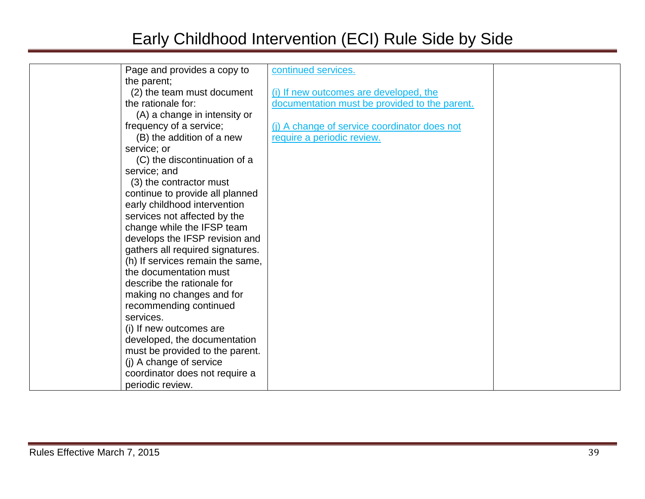| Page and provides a copy to      | continued services.                           |  |
|----------------------------------|-----------------------------------------------|--|
| the parent;                      |                                               |  |
| (2) the team must document       | (i) If new outcomes are developed, the        |  |
| the rationale for:               | documentation must be provided to the parent. |  |
| (A) a change in intensity or     |                                               |  |
| frequency of a service;          | (i) A change of service coordinator does not  |  |
| (B) the addition of a new        | require a periodic review.                    |  |
| service; or                      |                                               |  |
| (C) the discontinuation of a     |                                               |  |
| service; and                     |                                               |  |
| (3) the contractor must          |                                               |  |
| continue to provide all planned  |                                               |  |
| early childhood intervention     |                                               |  |
| services not affected by the     |                                               |  |
| change while the IFSP team       |                                               |  |
| develops the IFSP revision and   |                                               |  |
| gathers all required signatures. |                                               |  |
| (h) If services remain the same, |                                               |  |
| the documentation must           |                                               |  |
| describe the rationale for       |                                               |  |
| making no changes and for        |                                               |  |
| recommending continued           |                                               |  |
| services.                        |                                               |  |
| (i) If new outcomes are          |                                               |  |
| developed, the documentation     |                                               |  |
| must be provided to the parent.  |                                               |  |
| (j) A change of service          |                                               |  |
| coordinator does not require a   |                                               |  |
| periodic review.                 |                                               |  |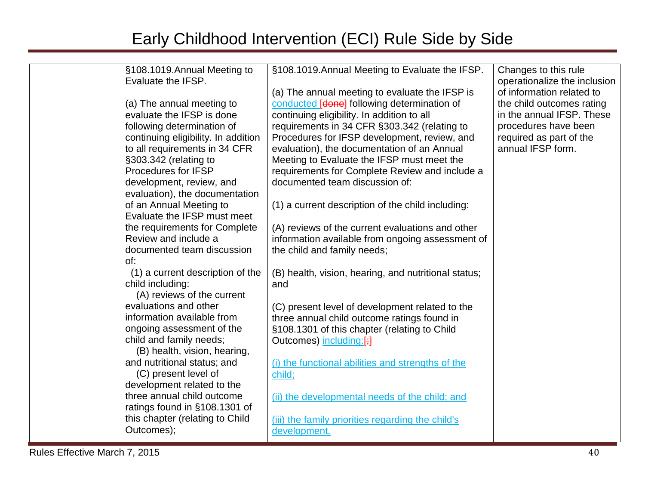| §108.1019.Annual Meeting to         | §108.1019.Annual Meeting to Evaluate the IFSP.       | Changes to this rule         |
|-------------------------------------|------------------------------------------------------|------------------------------|
| Evaluate the IFSP.                  |                                                      | operationalize the inclusion |
|                                     | (a) The annual meeting to evaluate the IFSP is       | of information related to    |
| (a) The annual meeting to           | conducted [done] following determination of          | the child outcomes rating    |
| evaluate the IFSP is done           | continuing eligibility. In addition to all           | in the annual IFSP. These    |
| following determination of          | requirements in 34 CFR §303.342 (relating to         | procedures have been         |
| continuing eligibility. In addition | Procedures for IFSP development, review, and         | required as part of the      |
| to all requirements in 34 CFR       | evaluation), the documentation of an Annual          | annual IFSP form.            |
| §303.342 (relating to               | Meeting to Evaluate the IFSP must meet the           |                              |
| Procedures for IFSP                 | requirements for Complete Review and include a       |                              |
| development, review, and            | documented team discussion of:                       |                              |
| evaluation), the documentation      |                                                      |                              |
| of an Annual Meeting to             | (1) a current description of the child including:    |                              |
| Evaluate the IFSP must meet         |                                                      |                              |
| the requirements for Complete       | (A) reviews of the current evaluations and other     |                              |
| Review and include a                | information available from ongoing assessment of     |                              |
| documented team discussion          | the child and family needs;                          |                              |
| of:                                 |                                                      |                              |
| (1) a current description of the    | (B) health, vision, hearing, and nutritional status; |                              |
| child including:                    | and                                                  |                              |
| (A) reviews of the current          |                                                      |                              |
| evaluations and other               | (C) present level of development related to the      |                              |
| information available from          | three annual child outcome ratings found in          |                              |
| ongoing assessment of the           | §108.1301 of this chapter (relating to Child         |                              |
| child and family needs;             | Outcomes) including:[;]                              |                              |
| (B) health, vision, hearing,        |                                                      |                              |
| and nutritional status; and         | (i) the functional abilities and strengths of the    |                              |
| (C) present level of                | child;                                               |                              |
| development related to the          |                                                      |                              |
| three annual child outcome          | (ii) the developmental needs of the child; and       |                              |
| ratings found in §108.1301 of       |                                                      |                              |
| this chapter (relating to Child     | (iii) the family priorities regarding the child's    |                              |
| Outcomes);                          | development.                                         |                              |
|                                     |                                                      |                              |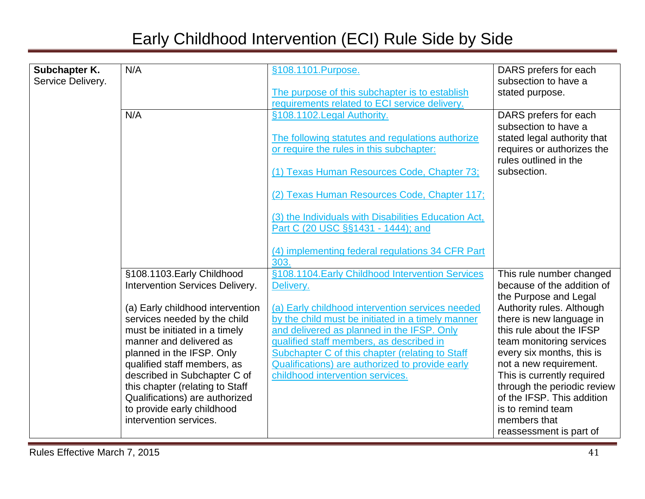| Subchapter K.     | N/A                                                  | §108.1101.Purpose.                                   | DARS prefers for each                                     |
|-------------------|------------------------------------------------------|------------------------------------------------------|-----------------------------------------------------------|
| Service Delivery. |                                                      |                                                      | subsection to have a                                      |
|                   |                                                      | The purpose of this subchapter is to establish       | stated purpose.                                           |
|                   |                                                      | requirements related to ECI service delivery.        |                                                           |
|                   | N/A                                                  | §108.1102. Legal Authority.                          | DARS prefers for each                                     |
|                   |                                                      |                                                      | subsection to have a                                      |
|                   |                                                      | The following statutes and regulations authorize     | stated legal authority that                               |
|                   |                                                      | or require the rules in this subchapter:             | requires or authorizes the                                |
|                   |                                                      |                                                      | rules outlined in the                                     |
|                   |                                                      | (1) Texas Human Resources Code, Chapter 73;          | subsection.                                               |
|                   |                                                      |                                                      |                                                           |
|                   |                                                      | (2) Texas Human Resources Code, Chapter 117;         |                                                           |
|                   |                                                      | (3) the Individuals with Disabilities Education Act, |                                                           |
|                   |                                                      | Part C (20 USC §§1431 - 1444); and                   |                                                           |
|                   |                                                      |                                                      |                                                           |
|                   |                                                      | (4) implementing federal regulations 34 CFR Part     |                                                           |
|                   |                                                      | 303.                                                 |                                                           |
|                   | §108.1103. Early Childhood                           | §108.1104. Early Childhood Intervention Services     | This rule number changed                                  |
|                   | Intervention Services Delivery.                      | Delivery.                                            | because of the addition of                                |
|                   |                                                      |                                                      | the Purpose and Legal                                     |
|                   | (a) Early childhood intervention                     | (a) Early childhood intervention services needed     | Authority rules. Although                                 |
|                   | services needed by the child                         | by the child must be initiated in a timely manner    | there is new language in                                  |
|                   | must be initiated in a timely                        | and delivered as planned in the IFSP. Only           | this rule about the IFSP                                  |
|                   | manner and delivered as                              | qualified staff members, as described in             | team monitoring services                                  |
|                   | planned in the IFSP. Only                            | Subchapter C of this chapter (relating to Staff      | every six months, this is                                 |
|                   | qualified staff members, as                          | Qualifications) are authorized to provide early      | not a new requirement.                                    |
|                   | described in Subchapter C of                         | childhood intervention services.                     | This is currently required                                |
|                   | this chapter (relating to Staff                      |                                                      | through the periodic review<br>of the IFSP. This addition |
|                   | Qualifications) are authorized                       |                                                      | is to remind team                                         |
|                   | to provide early childhood<br>intervention services. |                                                      | members that                                              |
|                   |                                                      |                                                      |                                                           |
|                   |                                                      |                                                      | reassessment is part of                                   |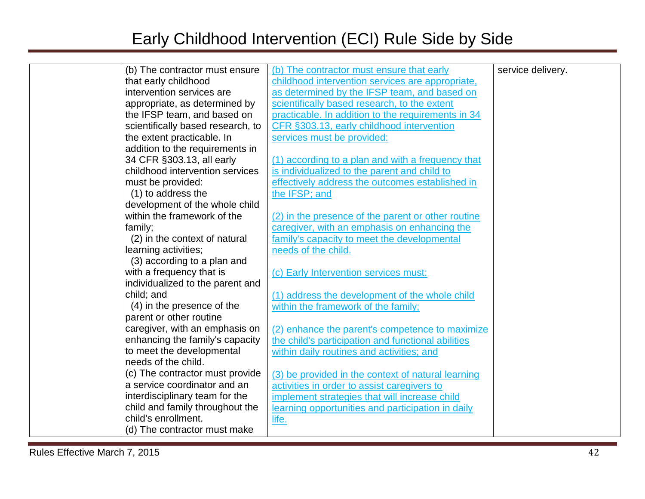| (b) The contractor must ensure    | (b) The contractor must ensure that early          | service delivery. |
|-----------------------------------|----------------------------------------------------|-------------------|
| that early childhood              | childhood intervention services are appropriate,   |                   |
| intervention services are         | as determined by the IFSP team, and based on       |                   |
| appropriate, as determined by     | scientifically based research, to the extent       |                   |
| the IFSP team, and based on       | practicable. In addition to the requirements in 34 |                   |
| scientifically based research, to | CFR §303.13, early childhood intervention          |                   |
| the extent practicable. In        | services must be provided:                         |                   |
| addition to the requirements in   |                                                    |                   |
| 34 CFR §303.13, all early         | (1) according to a plan and with a frequency that  |                   |
| childhood intervention services   | is individualized to the parent and child to       |                   |
| must be provided:                 | effectively address the outcomes established in    |                   |
| (1) to address the                | the IFSP; and                                      |                   |
| development of the whole child    |                                                    |                   |
| within the framework of the       | (2) in the presence of the parent or other routine |                   |
| family;                           | caregiver, with an emphasis on enhancing the       |                   |
| (2) in the context of natural     | family's capacity to meet the developmental        |                   |
| learning activities;              | needs of the child.                                |                   |
| (3) according to a plan and       |                                                    |                   |
| with a frequency that is          | (c) Early Intervention services must:              |                   |
| individualized to the parent and  |                                                    |                   |
| child; and                        | (1) address the development of the whole child     |                   |
| (4) in the presence of the        | within the framework of the family;                |                   |
| parent or other routine           |                                                    |                   |
| caregiver, with an emphasis on    | (2) enhance the parent's competence to maximize    |                   |
| enhancing the family's capacity   | the child's participation and functional abilities |                   |
| to meet the developmental         | within daily routines and activities; and          |                   |
| needs of the child.               |                                                    |                   |
| (c) The contractor must provide   | (3) be provided in the context of natural learning |                   |
| a service coordinator and an      | activities in order to assist caregivers to        |                   |
| interdisciplinary team for the    | implement strategies that will increase child      |                   |
| child and family throughout the   | learning opportunities and participation in daily  |                   |
| child's enrollment.               | life.                                              |                   |
| (d) The contractor must make      |                                                    |                   |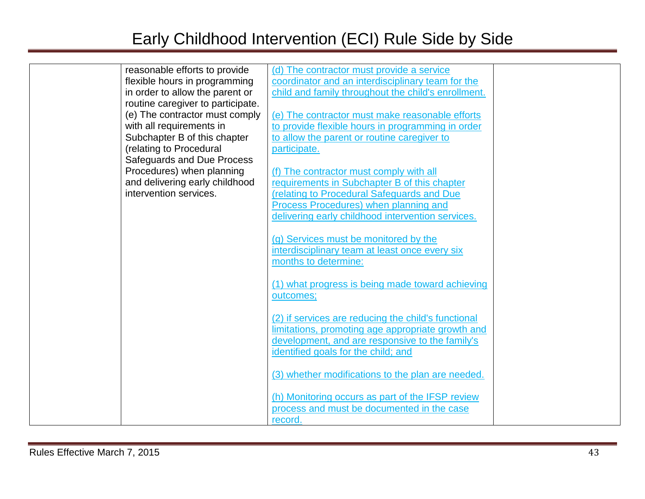| reasonable efforts to provide     | (d) The contractor must provide a service           |  |
|-----------------------------------|-----------------------------------------------------|--|
| flexible hours in programming     | coordinator and an interdisciplinary team for the   |  |
| in order to allow the parent or   | child and family throughout the child's enrollment. |  |
| routine caregiver to participate. |                                                     |  |
| (e) The contractor must comply    | (e) The contractor must make reasonable efforts     |  |
| with all requirements in          | to provide flexible hours in programming in order   |  |
| Subchapter B of this chapter      | to allow the parent or routine caregiver to         |  |
| (relating to Procedural           | participate.                                        |  |
| Safeguards and Due Process        |                                                     |  |
| Procedures) when planning         | (f) The contractor must comply with all             |  |
| and delivering early childhood    | requirements in Subchapter B of this chapter        |  |
| intervention services.            | (relating to Procedural Safeguards and Due          |  |
|                                   | Process Procedures) when planning and               |  |
|                                   | delivering early childhood intervention services.   |  |
|                                   |                                                     |  |
|                                   | (g) Services must be monitored by the               |  |
|                                   | interdisciplinary team at least once every six      |  |
|                                   | months to determine:                                |  |
|                                   |                                                     |  |
|                                   | (1) what progress is being made toward achieving    |  |
|                                   | outcomes;                                           |  |
|                                   |                                                     |  |
|                                   | (2) if services are reducing the child's functional |  |
|                                   | limitations, promoting age appropriate growth and   |  |
|                                   | development, and are responsive to the family's     |  |
|                                   | identified goals for the child; and                 |  |
|                                   |                                                     |  |
|                                   | (3) whether modifications to the plan are needed.   |  |
|                                   |                                                     |  |
|                                   | (h) Monitoring occurs as part of the IFSP review    |  |
|                                   | process and must be documented in the case          |  |
|                                   | record.                                             |  |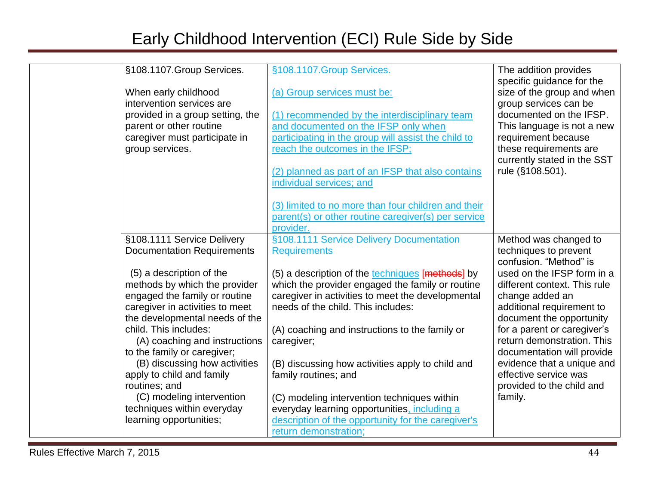| §108.1107.Group Services.<br>When early childhood<br>intervention services are<br>provided in a group setting, the<br>parent or other routine<br>caregiver must participate in<br>group services.                                                                                                                                                                                                                             | §108.1107.Group Services.<br>(a) Group services must be:<br>(1) recommended by the interdisciplinary team<br>and documented on the IFSP only when<br>participating in the group will assist the child to<br>reach the outcomes in the IFSP;<br>(2) planned as part of an IFSP that also contains<br>individual services; and                                                                                                                                                                                              | The addition provides<br>specific guidance for the<br>size of the group and when<br>group services can be<br>documented on the IFSP.<br>This language is not a new<br>requirement because<br>these requirements are<br>currently stated in the SST<br>rule (§108.501).                                                           |
|-------------------------------------------------------------------------------------------------------------------------------------------------------------------------------------------------------------------------------------------------------------------------------------------------------------------------------------------------------------------------------------------------------------------------------|---------------------------------------------------------------------------------------------------------------------------------------------------------------------------------------------------------------------------------------------------------------------------------------------------------------------------------------------------------------------------------------------------------------------------------------------------------------------------------------------------------------------------|----------------------------------------------------------------------------------------------------------------------------------------------------------------------------------------------------------------------------------------------------------------------------------------------------------------------------------|
| §108.1111 Service Delivery                                                                                                                                                                                                                                                                                                                                                                                                    | (3) limited to no more than four children and their<br>parent(s) or other routine caregiver(s) per service<br>provider.<br>§108.1111 Service Delivery Documentation                                                                                                                                                                                                                                                                                                                                                       | Method was changed to                                                                                                                                                                                                                                                                                                            |
| <b>Documentation Requirements</b>                                                                                                                                                                                                                                                                                                                                                                                             | <b>Requirements</b>                                                                                                                                                                                                                                                                                                                                                                                                                                                                                                       | techniques to prevent<br>confusion. "Method" is                                                                                                                                                                                                                                                                                  |
| (5) a description of the<br>methods by which the provider<br>engaged the family or routine<br>caregiver in activities to meet<br>the developmental needs of the<br>child. This includes:<br>(A) coaching and instructions<br>to the family or caregiver;<br>(B) discussing how activities<br>apply to child and family<br>routines; and<br>(C) modeling intervention<br>techniques within everyday<br>learning opportunities; | (5) a description of the techniques [methods] by<br>which the provider engaged the family or routine<br>caregiver in activities to meet the developmental<br>needs of the child. This includes:<br>(A) coaching and instructions to the family or<br>caregiver;<br>(B) discussing how activities apply to child and<br>family routines; and<br>(C) modeling intervention techniques within<br>everyday learning opportunities, including a<br>description of the opportunity for the caregiver's<br>return demonstration; | used on the IFSP form in a<br>different context. This rule<br>change added an<br>additional requirement to<br>document the opportunity<br>for a parent or caregiver's<br>return demonstration. This<br>documentation will provide<br>evidence that a unique and<br>effective service was<br>provided to the child and<br>family. |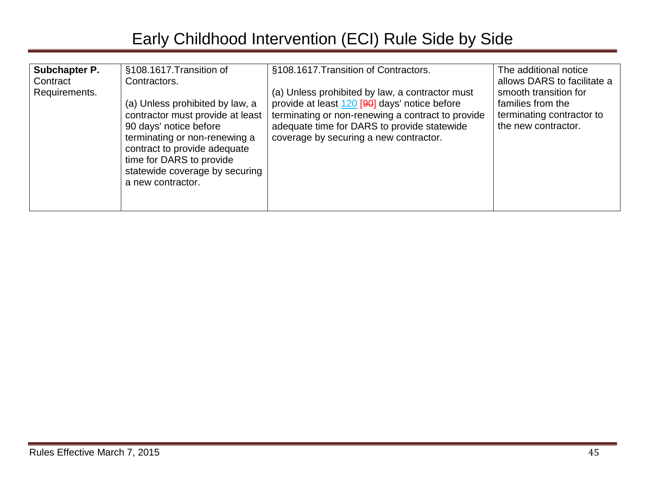| Subchapter P.<br>Contract<br>Requirements. | §108.1617. Transition of<br>Contractors.<br>(a) Unless prohibited by law, a<br>contractor must provide at least<br>90 days' notice before<br>terminating or non-renewing a<br>contract to provide adequate<br>time for DARS to provide<br>statewide coverage by securing<br>a new contractor. | §108.1617. Transition of Contractors.<br>(a) Unless prohibited by law, a contractor must<br>provide at least 120 [90] days' notice before<br>terminating or non-renewing a contract to provide<br>adequate time for DARS to provide statewide<br>coverage by securing a new contractor. | The additional notice<br>allows DARS to facilitate a<br>smooth transition for<br>families from the<br>terminating contractor to<br>the new contractor. |
|--------------------------------------------|-----------------------------------------------------------------------------------------------------------------------------------------------------------------------------------------------------------------------------------------------------------------------------------------------|-----------------------------------------------------------------------------------------------------------------------------------------------------------------------------------------------------------------------------------------------------------------------------------------|--------------------------------------------------------------------------------------------------------------------------------------------------------|
|--------------------------------------------|-----------------------------------------------------------------------------------------------------------------------------------------------------------------------------------------------------------------------------------------------------------------------------------------------|-----------------------------------------------------------------------------------------------------------------------------------------------------------------------------------------------------------------------------------------------------------------------------------------|--------------------------------------------------------------------------------------------------------------------------------------------------------|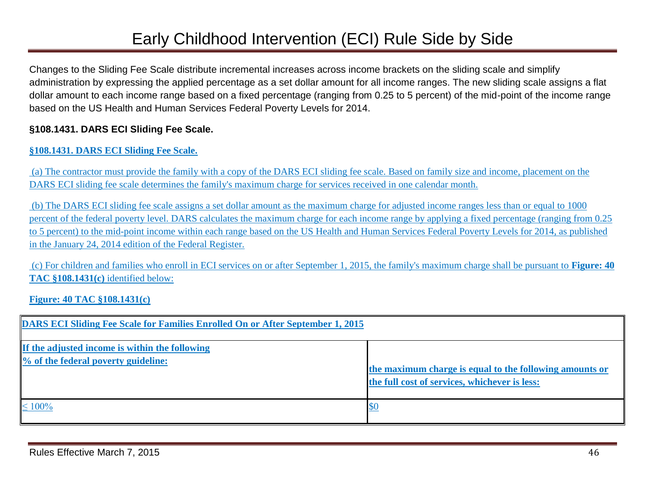Changes to the Sliding Fee Scale distribute incremental increases across income brackets on the sliding scale and simplify administration by expressing the applied percentage as a set dollar amount for all income ranges. The new sliding scale assigns a flat dollar amount to each income range based on a fixed percentage (ranging from 0.25 to 5 percent) of the mid-point of the income range based on the US Health and Human Services Federal Poverty Levels for 2014.

#### **§108.1431. DARS ECI Sliding Fee Scale.**

#### **§108.1431. DARS ECI Sliding Fee Scale.**

(a) The contractor must provide the family with a copy of the DARS ECI sliding fee scale. Based on family size and income, placement on the DARS ECI sliding fee scale determines the family's maximum charge for services received in one calendar month.

(b) The DARS ECI sliding fee scale assigns a set dollar amount as the maximum charge for adjusted income ranges less than or equal to 1000 percent of the federal poverty level. DARS calculates the maximum charge for each income range by applying a fixed percentage (ranging from 0.25 to 5 percent) to the mid-point income within each range based on the US Health and Human Services Federal Poverty Levels for 2014, as published in the January 24, 2014 edition of the Federal Register.

(c) For children and families who enroll in ECI services on or after September 1, 2015, the family's maximum charge shall be pursuant to **Figure: 40 TAC §108.1431(c)** identified below:

#### **Figure: 40 TAC §108.1431(c)**

| <b>DARS ECI Sliding Fee Scale for Families Enrolled On or After September 1, 2015</b> |                                                                                                          |
|---------------------------------------------------------------------------------------|----------------------------------------------------------------------------------------------------------|
| If the adjusted income is within the following<br>% of the federal poverty guideline: | the maximum charge is equal to the following amounts or<br>the full cost of services, whichever is less: |
| $\leq 100\%$                                                                          |                                                                                                          |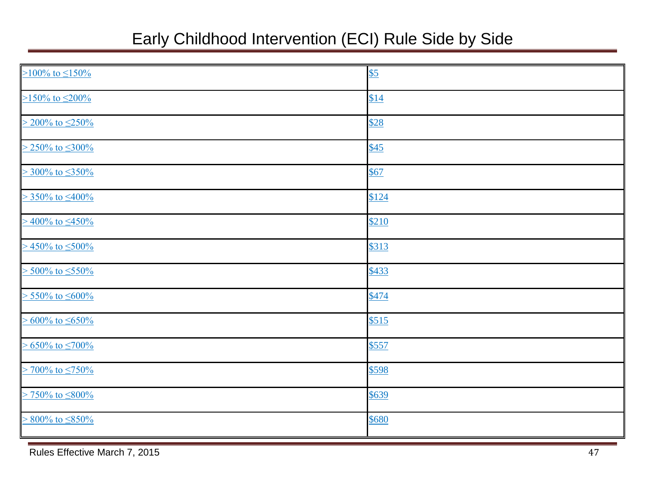| $\geq$ 100% to $\leq$ 150%   | $\underline{\$5}$ |
|------------------------------|-------------------|
| $\geq$ 150% to $\leq$ 200%   | \$14              |
| $> 200\%$ to $\leq 250\%$    | \$28              |
| $> 250\%$ to $\leq 300\%$    | $\underline{$45}$ |
| $>$ 300% to $\leq$ 350%      | \$67              |
| $> 350\%$ to $\leq 400\%$    | \$124             |
| $>$ 400% to $\leq$ 450%      | \$210             |
| $>$ 450% to $\leq$ 500%      | \$313             |
| $> 500\%$ to $\leq 550\%$    | \$433             |
| $> 550\%$ to $\leq 600\%$    | \$474             |
| $\geq 600\%$ to $\leq 650\%$ | \$515             |
| $\geq 650\%$ to $\leq 700\%$ | \$557             |
| $>$ 700% to $\leq$ 750%      | \$598             |
| $>$ 750% to $\leq$ 800%      | \$639             |
| $> 800\%$ to $\leq 850\%$    | \$680             |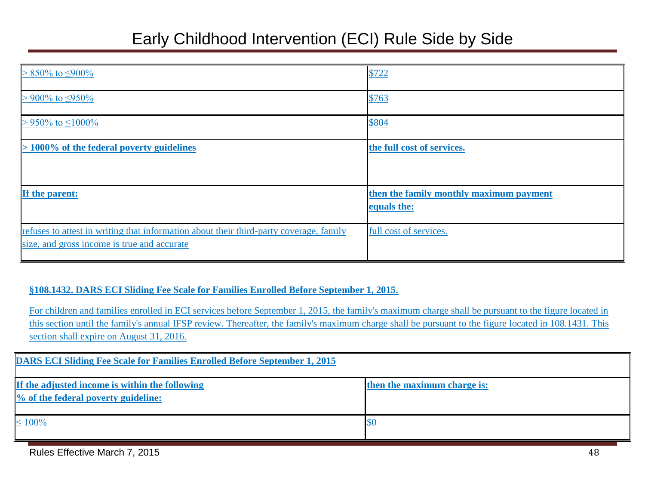| $> 850\%$ to $\leq 900\%$                                                                                                             | \$722                                                  |
|---------------------------------------------------------------------------------------------------------------------------------------|--------------------------------------------------------|
| $> 900\%$ to $\leq 950\%$                                                                                                             | \$763                                                  |
| $> 950\%$ to $\leq 1000\%$                                                                                                            | \$804                                                  |
| $> 1000\%$ of the federal poverty guidelines                                                                                          | the full cost of services.                             |
| If the parent:                                                                                                                        | then the family monthly maximum payment<br>equals the: |
| refuses to attest in writing that information about their third-party coverage, family<br>size, and gross income is true and accurate | full cost of services.                                 |

#### **§108.1432. DARS ECI Sliding Fee Scale for Families Enrolled Before September 1, 2015.**

For children and families enrolled in ECI services before September 1, 2015, the family's maximum charge shall be pursuant to the figure located in this section until the family's annual IFSP review. Thereafter, the family's maximum charge shall be pursuant to the figure located in 108.1431. This section shall expire on August 31, 2016.

| <b>DARS ECI Sliding Fee Scale for Families Enrolled Before September 1, 2015</b>      |                             |
|---------------------------------------------------------------------------------------|-----------------------------|
| If the adjusted income is within the following<br>% of the federal poverty guideline: | then the maximum charge is: |
| $\leq 100\%$                                                                          |                             |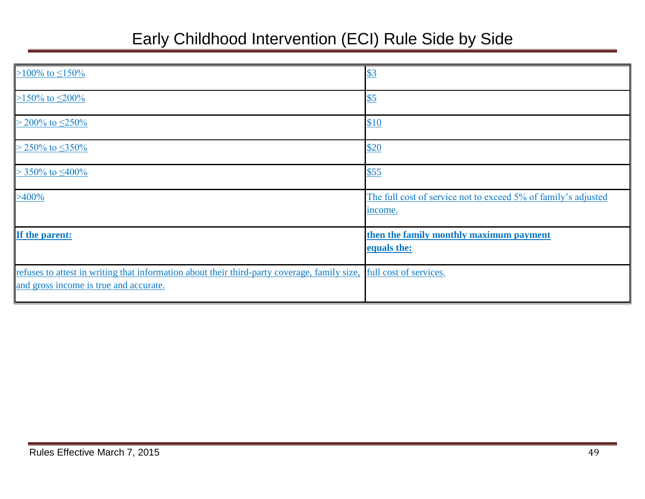| >100% to $\leq$ 150%                                                                                                                   | \$3                                                                       |
|----------------------------------------------------------------------------------------------------------------------------------------|---------------------------------------------------------------------------|
| >150% to $\leq$ 200%                                                                                                                   | \$5                                                                       |
| $> 200\%$ to $\leq 250\%$                                                                                                              | \$10                                                                      |
| $> 250\%$ to $\leq 350\%$                                                                                                              | \$20                                                                      |
| $>$ 350% to $\leq$ 400%                                                                                                                | \$55                                                                      |
| $>400\%$                                                                                                                               | The full cost of service not to exceed 5% of family's adjusted<br>income. |
| If the parent:                                                                                                                         | then the family monthly maximum payment<br>equals the:                    |
| refuses to attest in writing that information about their third-party coverage, family size,<br>and gross income is true and accurate. | full cost of services.                                                    |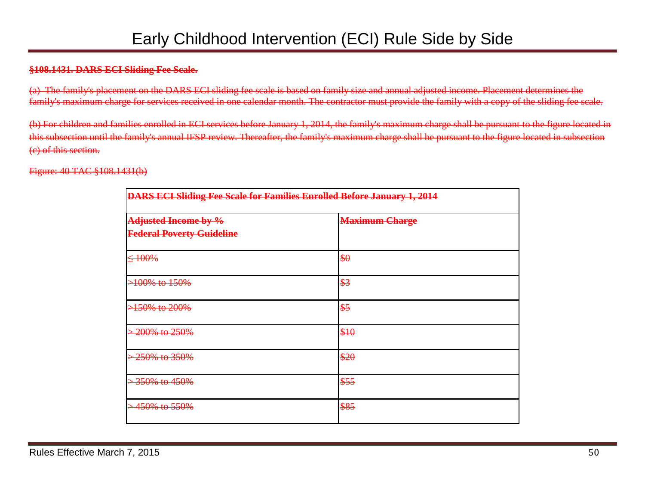#### **§108.1431. DARS ECI Sliding Fee Scale.**

(a) The family's placement on the DARS ECI sliding fee scale is based on family size and annual adjusted income. Placement determines the family's maximum charge for services received in one calendar month. The contractor must provide the family with a copy of the sliding fee scale.

(b) For children and families enrolled in ECI services before January 1, 2014, the family's maximum charge shall be pursuant to the figure located in this subsection until the family's annual IFSP review. Thereafter, the family's maximum charge shall be pursuant to the figure located in subsection (c) of this section.

#### Figure: 40 TAC §108.1431(b)

| <b>DARS ECI Sliding Fee Scale for Families Enrolled Before January 1, 2014</b> |                       |  |
|--------------------------------------------------------------------------------|-----------------------|--|
| Adjusted Income by %<br><b>Federal Poverty Guideline</b>                       | <b>Maximum Charge</b> |  |
| $\leq 100\%$                                                                   | \$0                   |  |
| >100% to 150%                                                                  | \$3                   |  |
| <del>&gt;150% to 200%</del>                                                    | \$5                   |  |
| 200% to 250%                                                                   | \$10                  |  |
| 250% to 350%                                                                   | \$20                  |  |
| 350% to 450%                                                                   | \$55                  |  |
| <del>450% to 550%</del>                                                        | \$85                  |  |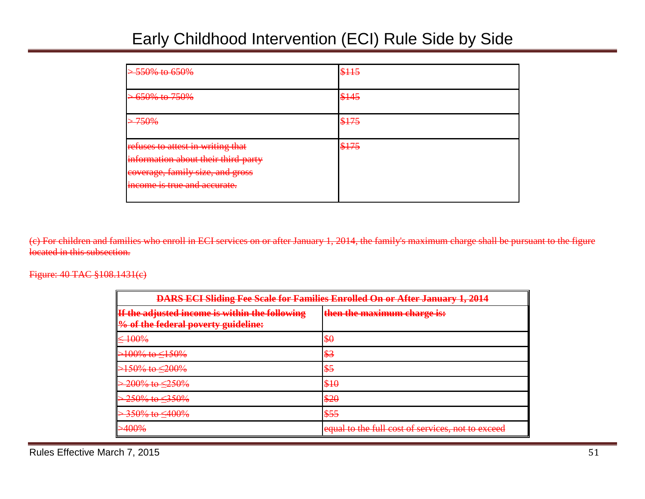| > 550% to 650%                                                                                                                               | \$115 |
|----------------------------------------------------------------------------------------------------------------------------------------------|-------|
| <del>&gt; 650% to 750%</del>                                                                                                                 | \$145 |
| <del>750%</del>                                                                                                                              | \$175 |
| refuses to attest in writing that<br>information about their third-party<br>coverage, family size, and gross<br>income is true and accurate. | \$175 |

(c) For children and families who enroll in ECI services on or after January 1, 2014, the family's maximum charge shall be pursuant to the figure located in this subsection.

#### Figure: 40 TAC §108.1431(c)

| <b>DARS ECI Sliding Fee Scale for Families Enrolled On or After January 1, 2014</b>           |                                                   |  |
|-----------------------------------------------------------------------------------------------|---------------------------------------------------|--|
| If the adjusted income is within the following<br><b>9% of the federal poverty guideline:</b> | then the maximum charge is:                       |  |
| $\leq 100\%$                                                                                  | \$0                                               |  |
| $>100\%$ to $\leq 150\%$                                                                      | \$3                                               |  |
| $>150\%$ to $\leq 200\%$                                                                      | \$5                                               |  |
| $-200\%$ to $\leq$ 250%                                                                       | \$10                                              |  |
| $-250\%$ to $\leq$ 350%                                                                       | \$20                                              |  |
| $-350\%$ to $\leq 400\%$                                                                      | \$55                                              |  |
| $\sim$ $100\%$<br><del>240070</del>                                                           | equal to the full cost of services, not to exceed |  |